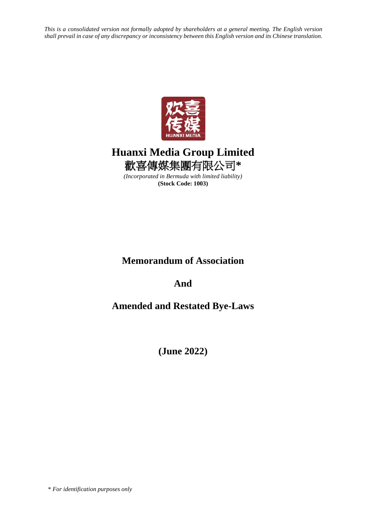*This is a consolidated version not formally adopted by shareholders at a general meeting. The English version shall prevail in case of any discrepancy or inconsistency between this English version and its Chinese translation.*



# **Huanxi Media Group Limited** 歡喜傳媒集團有限公司**\***

*(Incorporated in Bermuda with limited liability)* **(Stock Code: 1003)**

# **Memorandum of Association**

**And**

# **Amended and Restated Bye-Laws**

**(June 2022)**

\* *For identification purposes only*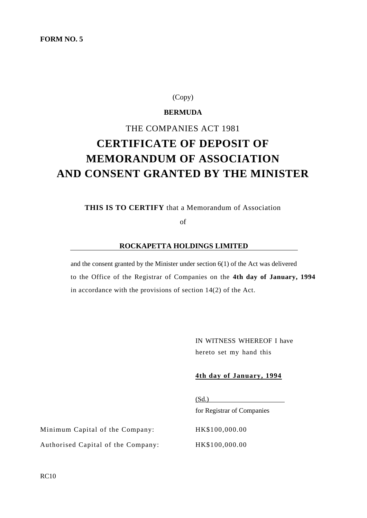# **FORM NO. 5**

# (Copy)

# **BERMUDA**

# THE COMPANIES ACT 1981 **CERTIFICATE OF DEPOSIT OF MEMORANDUM OF ASSOCIATION AND CONSENT GRANTED BY THE MINISTER**

**THIS IS TO CERTIFY** that a Memorandum of Association

of

## **ROCKAPETTA HOLDINGS LIMITED**

and the consent granted by the Minister under section 6(1) of the Act was delivered to the Office of the Registrar of Companies on the **4th day of January, 1994** in accordance with the provisions of section 14(2) of the Act.

> IN WITNESS WHEREOF I have hereto set my hand this

## **4th day of January, 1994**

 $(Sd.)$ for Registrar of Companies

Minimum Capital of the Company: HK\$100,000.00 Authorised Capital of the Company: HK\$100,000.00

RC10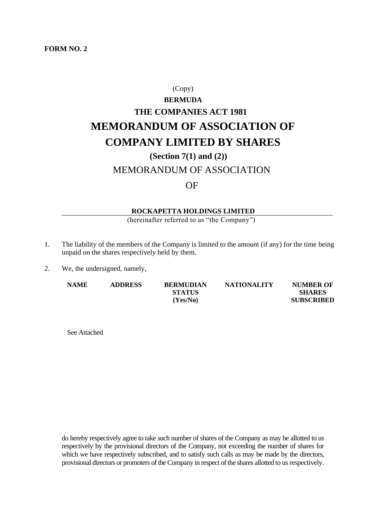# **FORM NO. 2**

# (Copy) **BERMUDA THE COMPANIES ACT 1981 MEMORANDUM OF ASSOCIATION OF COMPANY LIMITED BY SHARES (Section 7(1) and (2))**

# MEMORANDUM OF ASSOCIATION

# OF

# **ROCKAPETTA HOLDINGS LIMITED**

(hereinafter referred to as "the Company")

- 1. The liability of the members of the Company is limited to the amount (if any) for the time being unpaid on the shares respectively held by them.
- 2. We, the undersigned, namely,

| <b>NAME</b> | <b>ADDRESS</b> | <b>BERMUDIAN</b> | <b>NATIONALITY</b> | <b>NUMBER OF</b>  |
|-------------|----------------|------------------|--------------------|-------------------|
|             |                | <b>STATUS</b>    |                    | <b>SHARES</b>     |
|             |                | (Yes/No)         |                    | <b>SUBSCRIBED</b> |

See Attached

do hereby respectively agree to take such number of shares of the Company as may be allotted to us respectively by the provisional directors of the Company, not exceeding the number of shares for which we have respectively subscribed, and to satisfy such calls as may be made by the directors, provisional directors or promoters of the Company in respect of the shares allotted to us respectively.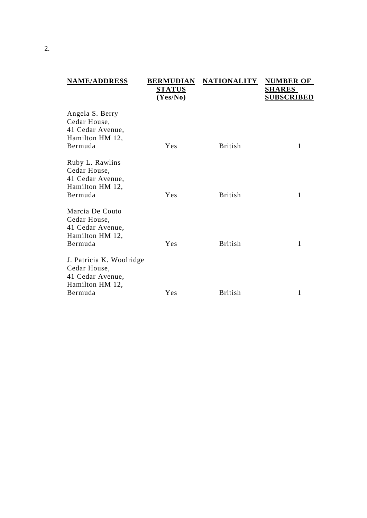| <b>NAME/ADDRESS</b>                                                                        | <b>BERMUDIAN</b><br><b>STATUS</b><br>(Yes/No) | <b>NATIONALITY</b> | <b>NUMBER OF</b><br><b>SHARES</b><br><u>SUBSCRIBED</u> |
|--------------------------------------------------------------------------------------------|-----------------------------------------------|--------------------|--------------------------------------------------------|
| Angela S. Berry<br>Cedar House,<br>41 Cedar Avenue,<br>Hamilton HM 12,<br>Bermuda          | Yes                                           | <b>British</b>     | 1                                                      |
| Ruby L. Rawlins<br>Cedar House,<br>41 Cedar Avenue,<br>Hamilton HM 12,<br>Bermuda          | Yes                                           | <b>British</b>     | 1                                                      |
| Marcia De Couto<br>Cedar House,<br>41 Cedar Avenue,<br>Hamilton HM 12,<br>Bermuda          | Yes                                           | <b>British</b>     | 1                                                      |
| J. Patricia K. Woolridge<br>Cedar House,<br>41 Cedar Avenue,<br>Hamilton HM 12,<br>Bermuda | Yes                                           | <b>British</b>     | 1                                                      |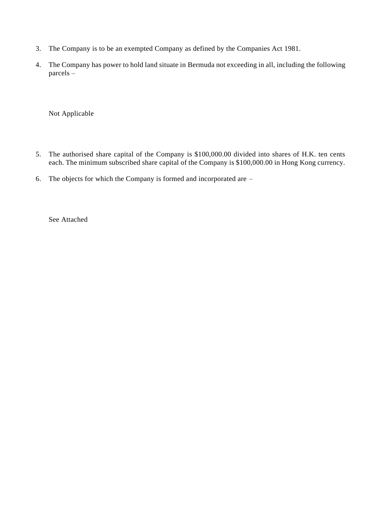- 3. The Company is to be an exempted Company as defined by the Companies Act 1981.
- 4. The Company has power to hold land situate in Bermuda not exceeding in all, including the following parcels –

Not Applicable

- 5. The authorised share capital of the Company is \$100,000.00 divided into shares of H.K. ten cents each. The minimum subscribed share capital of the Company is \$100,000.00 in Hong Kong currency.
- 6. The objects for which the Company is formed and incorporated are –

See Attached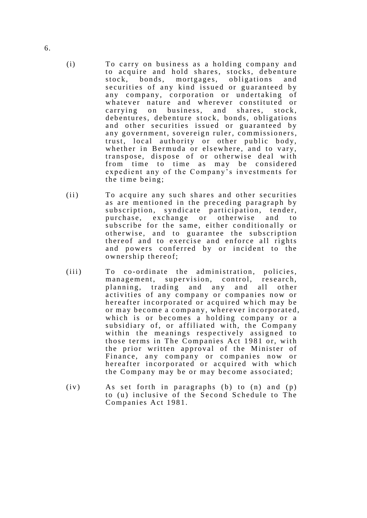- (i) To carry on business as a holding company and to acquire and hold shares, stocks, debenture<br>stock. bonds. mortgages, obligations and bonds, mortgages, obligations and securities of any kind issued or guaranteed by any company, corporation or undertaking of whatever nature and wherever constituted or carrying on business, and shares, stock, debentures, debenture stock, bonds, obligations and other securities issued or guaranteed by any government, sovereign ruler, commissioners, trust, local authority or other public body, whether in Bermuda or elsewhere, and to vary, transpose, dispose of or otherwise deal with from time to time as may be considered expedient any of the Company's investments for the time being;
- (ii) To acquire any such shares and other securities as are mentioned in the preceding paragraph by subscription, syndicate participation, tender, purchase, exchange or otherwise and to subscribe for the same, either conditionally or otherwise, and to guarantee the subscription there of and to exercise and enforce all rights and powers conferred by or incident to the ownership thereof;
- $(iii)$  To co-ordinate the administration, policies, management, supervision, control, research, planning, trading and any and all other activities of any company or companies now or hereafter incorporated or acquired which may be or may become a company, wherever incorporated, which is or becomes a holding company or a subsidiary of, or affiliated with, the Company within the meanings respectively assigned to those terms in The Companies Act 1981 or, with the prior written approval of the Minister of Finance, any company or companies now or hereafter incorporated or acquired with which the Company may be or may become associated;
- $(iv)$  As set forth in paragraphs (b) to  $(n)$  and  $(p)$ to (u) inclusive of the Second Schedule to The Companies Act 1981.

6.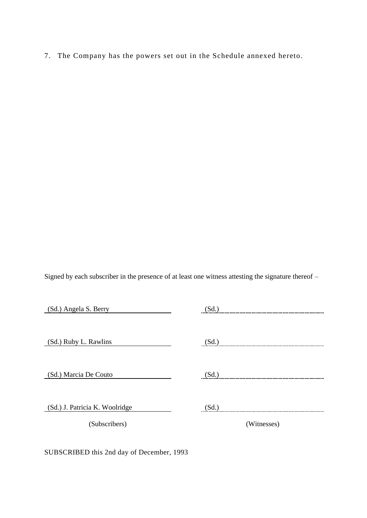7. The Company has the powers set out in the Schedule annexed hereto.

Signed by each subscriber in the presence of at least one witness attesting the signature thereof –

| (Sd.) Angela S. Berry          | (Sd.)       |
|--------------------------------|-------------|
|                                |             |
| (Sd.) Ruby L. Rawlins          | (Sd.)       |
|                                |             |
|                                |             |
| (Sd.) Marcia De Couto          | (Sd.)       |
|                                |             |
| (Sd.) J. Patricia K. Woolridge | (Sd.)       |
| (Subscribers)                  | (Witnesses) |

SUBSCRIBED this 2nd day of December, 1993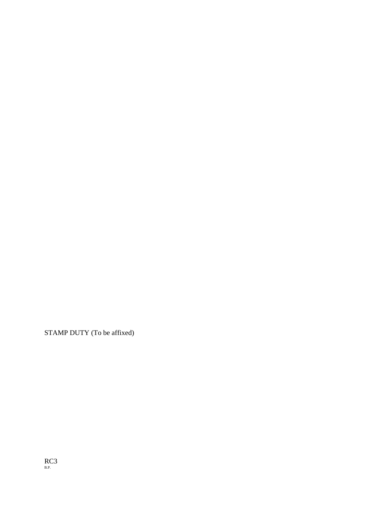STAMP DUTY (To be affixed)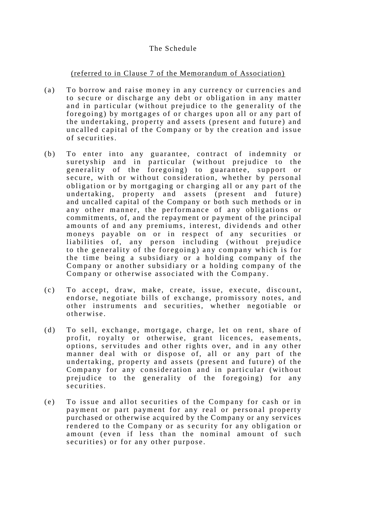# The Schedule

# (referred to in Clause 7 of the Memorandum of Association)

- (a) To borrow and raise money in any currency or currencies and to secure or discharge any debt or obligation in any matter and in particular (without prejudice to the generality of the foregoing) by mortgages of or charges upon all or any part of the undertaking, property and assets (present and future) and uncalled capital of the Company or by the creation and issue of securities.
- (b) To enter into any guarantee, contract of indemnity or suretyship and in particular (without prejudice to the generality of the foregoing) to guarantee, support or secure, with or without consideration, whether by personal obligation or by mortgaging or charging all or any part of the undertaking, property and assets (present and future) and uncalled capital of the Company or both such methods or in any other manner, the performance of any obligations or commitments, of, and the repayment or payment of the principal amounts of and any premiums, interest, dividends and other moneys payable on or in respect of any securities or liabilities of, any person including (without prejudice to the generality of the foregoing) any company which is for the time being a subsidiary or a holding company of the Company or another subsidiary or a holding company of the Company or otherwise associated with the Company.
- (c) To accept, draw, make, create, issue, execute, discount, endorse, negotiate bills of exchange, promissory notes, and other instruments and securities, whether negotiable or o therwise.
- (d) To sell, exchange, mortgage, charge, let on rent, share of profit, royalty or otherwise, grant licences, easements, options, servitudes and other rights over, and in any other manner deal with or dispose of, all or any part of the undertaking, property and assets (present and future) of the Company for any consideration and in particular (without prejudice to the generality of the foregoing) for any s e curities.
- (e) To issue and allot securities of the Company for cash or in payment or part payment for any real or personal property purchased or otherwise acquired by the Company or any services rendered to the Company or as security for any obligation or amount (even if less than the nominal amount of such securities) or for any other purpose.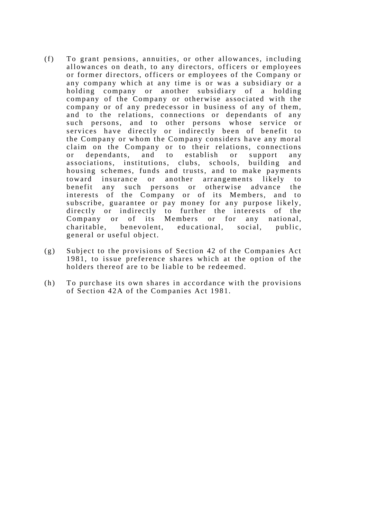- (f) To grant pensions, annuities, or other allowances, including allowances on death, to any directors, officers or employees or former directors, officers or employees of the Company or any company which at any time is or was a subsidiary or a holding company or another subsidiary of a holding company of the Company or otherwise associated with the company or of any predecessor in business of any of them, and to the relations, connections or dependants of any such persons, and to other persons whose service or services have directly or indirectly been of benefit to the Company or whom the Company considers have any moral claim on the Company or to their relations, connections or dependants, and to establish or support any associations, institutions, clubs, schools, building and housing schemes, funds and trusts, and to make payments<br>toward insurance or another arrangements likely to toward insurance or another arrangements likely to benefit any such persons or otherwise advance the int erests of the Company or of its Members, and to subscribe, guarantee or pay money for any purpose likely, directly or indirectly to further the interests of the Company or of its Members or for any national, charitable, benevolent, educational, social, public, general or useful object.
- (g) Subject to the provisions of Section 42 of the Companies Act 1981, to issue preference shares which at the option of the holders thereof are to be liable to be redeemed.
- (h) To purchase its own shares in accordance with the provisions of Section 42A of the Companies Act 1981.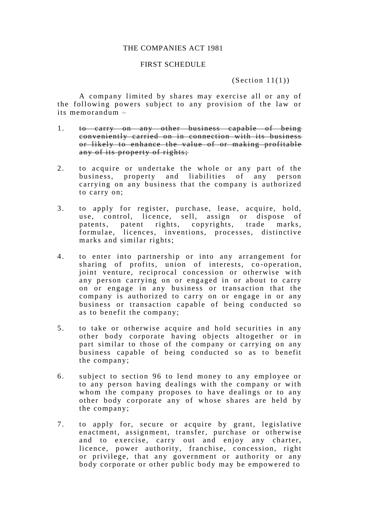### THE COMPANIES ACT 1981

# FIRST SCHEDULE

 $(Section 11(1))$ 

A company limited by shares may exercise all or any of the following powers subject to any provision of the law or its memorandum –

- 1. to carry on any other business capable of being conveniently carried on in connection with its business or likely to enhance the value of or making profitable any of its property of rights;
- 2. to acquire or undertake the whole or any part of the business, property and liabilities of any person carrying on any business that the company is authorized to carry on;
- 3. to apply for register, purchase, lease, acquire, hold, use, control, licence, sell, assign or dispose of patents, patent rights, copyrights, trade marks, formulae, licences, inventions, processes, distinctive marks and similar rights;
- 4. to enter into partnership or into any arrangement for sharing of profits, union of interests, co-operation, joint venture, reciprocal concession or otherwise with any person carrying on or engaged in or about to carry on or engage in any business or transaction that the company is authorized to carry on or engage in or any business or transaction capable of being conducted so as to benefit the company;
- 5. to take or otherwise acquire and hold securities in any other body corporate having objects altogether or in part similar to those of the company or carrying on any business capable of being conducted so as to benefit the company;
- 6. subject to section 96 to lend money to any employee or to any person having dealings with the company or with whom the company proposes to have dealings or to any other body corporate any of whose shares are held by the company;
- 7. to apply for, secure or acquire by grant, legislative enactment, assignment, transfer, purchase or otherwise and to exercise, carry out and enjoy any charter, licence, power authority, franchise, concession, right or privilege, that any government or authority or any body corporate or other public body may be empowered to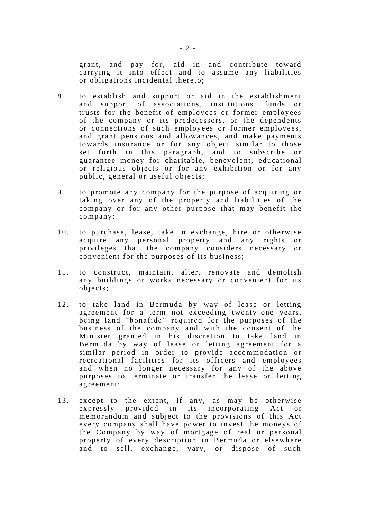grant, and pay for, aid in and contribute toward carrying it into effect and to assume any liabilities or obligations incidental thereto;

- 8. to establish and support or aid in the establishment and support of associations, institutions, funds or trusts for the benefit of employees or former employees of the company or its predecessors, or the dependents or connections of such employees or former employees, and grant pensions and allowances, and make payments towards insurance or for any object similar to those set forth in this paragraph, and to subscribe or guarantee money for charitable, benevolent, educational or religious objects or for any exhibition or for any public, general or useful objects;
- 9. to promote any company for the purpose of acquiring or taking over any of the property and liabilities of the company or for any other purpose that may benefit the company;
- 10. to purchase, lease, take in exchange, hire or otherwise acquire any personal property and any rights or privileges that the company considers necessary or convenient for the purposes of its business;
- 11. to construct, maintain, alter, renovate and demolish any buildings or works necessary or convenient for its objects;
- 12. to take land in Bermuda by way of lease or letting agreement for a term not exceeding twenty -one years, being land "bonafide" required for the purposes of the business of the company and with the consent of the Minister granted in his discretion to take land in Bermuda by way of lease or letting agreement for a similar period in order to provide accommodation or recreational facilities for its officers and employees and when no longer necessary for any of the above purposes to terminate or transfer the lease or letting agreement;
- 13. except to the extent, if any, as may be otherwise expressly provided in its incorporating Act or memorandum and subject to the provisions of this Act every company shall have power to invest the moneys of the Company by way of mortgage of real or personal property of every description in Bermuda or elsewhere and to sell, exchange, vary, or dispose of such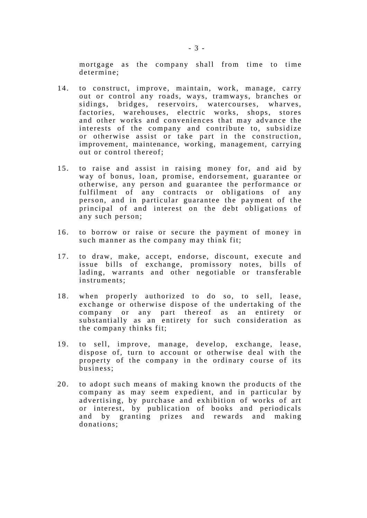mortgage as the company shall from time to time determine;

- 14. to construct, improve, maintain, work, manage, carry out or control any roads, ways, tramways, branches or sidings, bridges, reservoirs, watercourses, wharves, sidings, bridges, reservoirs, watercourses, factories, warehouses, electric works, shops, stores and other works and convenien ces that may advance the interests of the company and contribute to, subsidize or otherwise assist or take part in the construction, improvement, maintenance, working, management, carrying out or control thereof;
- 15. to raise and assist in raising money for, and aid by way of bonus, loan, promise, endorsement, guarantee or otherwise, any person and guarantee the performance or fulfilment of any contracts or obligations of any person, and in particular guarantee the payment of the principal of and interest on the debt obligations of any such person;
- 16. to borrow or raise or secure the payment of money in such manner as the company may think fit;
- 17. to draw, make, accept, endorse, discount, execute and issue bills of exchange, promissory notes, bills of lading, warrants and other negotiable or transferable instruments;
- 18. when properly authorized to do so, to sell, lease, exchange or otherwise dispose of the undertaking of the company or any part thereof as an entirety or substantially as an entirety for such consideration as the company thinks fit;
- 19. to sell, improve, manage, develop, exchange, lease, dispose of, turn to account or otherwise deal with the property of the company in the ordinary course of its business;
- 20. to adopt such means of making known the products of the company as may seem expedient, and in particular by advertising, by purchase and exhibition of works of art or interest, by publication of books and periodicals and by granting prizes and rewards and making donations;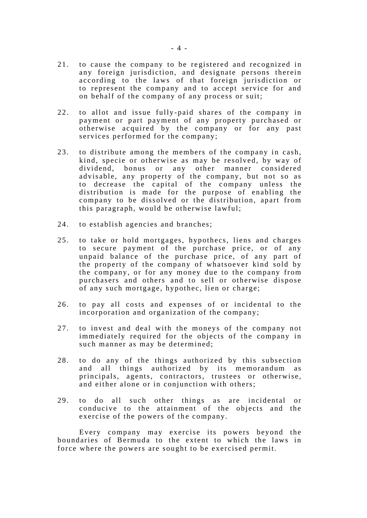- 21. to cause the company to be re gistered and recognized in any foreign jurisdiction, and designate persons therein according to the laws of that foreign jurisdiction or to represent the company and to accept service for and on behalf of the company of any process or suit;
- 22. to allot and issue fully -paid shares of the company in payment or part payment of any property purchased or otherwise acquired by the company or for any past services performed for the company;
- 23. to distribute among the members of the company in cash, kind, specie or otherwise as may be resolved, by way of dividend, bonus or any other manner considered advisable, any property of the company, but not so as to decrease the capital of the company unless the distribution is made for the purpose of enabling the company to be dissolved or the distribution, apart from this paragraph, would be otherwise lawful;
- 24. to establish agencies and branches;
- 25. to take or hold mortgages, hypothecs, liens and charges to secure payment of the purchase price, or of any unpaid balance of the purchase price, of any part of the property of the company of whatsoever kind sold by the company, or for any money due to the company from purchasers and others and to sell or otherwise dispose of any such mortgage, hypothec, lien or charge;
- 26. to pay all costs and expenses of or incidental to the incorporation and organization of the company;
- 27. to invest and deal with the moneys of the company not immediately required for the objects of the company in such manner as may be determined;
- 28. to do any of the things authorized by this subsection and all things authorized by its memorandum as principals, agents, contractors, trustees or otherwise, and either alone or in conjunction with others;
- 29. to do all such other things as are incidental or conducive to the attainment of the objects and the exercise of the powers of the company.

Every company may exercise its powers beyond the boundaries of Bermuda to the extent to which the laws in force where the powers are sought to be exercised permit.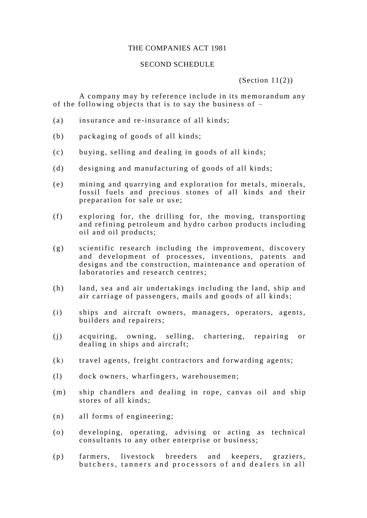# THE COMPANIES ACT 1981

# SECOND SCHEDULE

 $(Section 11(2))$ 

A company may by reference include in its memorandum any of the following objects that is to say the business of –

- (a) insurance and re -insurance of all kinds;
- (b) packaging of goods of all kinds;
- (c) buying, selling and dealing in goods of all kinds;
- (d) designing and manufacturing of goods of all kinds;
- (e) mining and quarrying and exploration for metals, minerals, fossil fuels and precious stones of all kinds and their preparation for sale or use;
- (f) exploring for, the drilling for, the moving, transporting and refining petroleum and hydro carbon products including oil and oil products;
- (g) scientific research including the improvement, discovery and development of processes, inventions, patents and designs and the construction, maintenance and operation of laboratories and research centres;
- (h) land, sea and air undertakings including the land, ship and air carriage of passengers, mails and goods of all kinds;
- (i) ships and aircraft owners, managers, operators, agents, builders and repairers;
- (j) acquiring, owning, selling, chartering, repairing or dealing in ships and aircraft;
- (k) travel agents, freight contractors and forwarding agents;
- (l) dock owners, wharfingers, warehousemen;
- (m) ship chandlers and dealing in rope, canvas oil and ship stores of all kinds;
- (n) all forms of engineering;
- (o) developing, operating, advising or acting as technical consultants to any other enterprise or business;
- (p) farmers, livestock breeders and keepers, graziers, but chers, tanners and processors of and dealers in all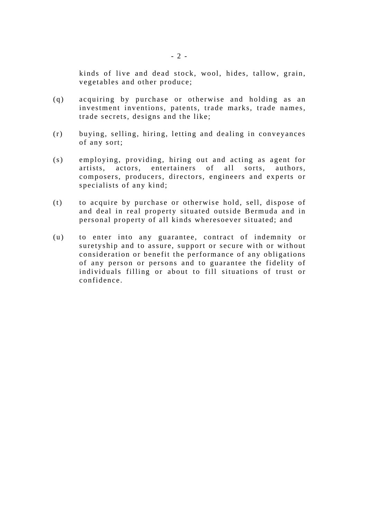kinds of live and dead stock, wool, hides, tallow, grain, vegetables and other produce;

- (q) acquiring by purchase or otherwise and holding as an investment inventions, patents, trade marks, trade names, trade secrets, designs and the like;
- (r) buying, selling, hiring, letting and dealing in conveyances of any sort;
- (s) employing, providing, hiring out and acting as agent for artists, actors, entertainers of all sorts, authors, composers, producers, directors, engineers and experts or specialists of any kind;
- (t) to acquire by purchase or otherwise hold, sell, dispose of and deal in real property situated outside Bermuda and in personal property of all kinds wheresoever situated; and
- (u) to enter into any guarantee, contract of indemnity or suretyship and to assure, support or secure with or without consideration or benefit the performance of any obligations of any person or persons and to guarantee the fidelity of individuals filling or about to fill situations of trust or confidence.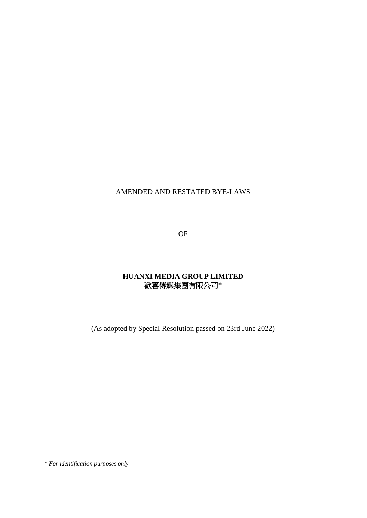# AMENDED AND RESTATED BYE-LAWS

OF

# **HUANXI MEDIA GROUP LIMITED** 歡喜傳媒集團有限公司**\***

(As adopted by Special Resolution passed on 23rd June 2022)

\* *For identification purposes only*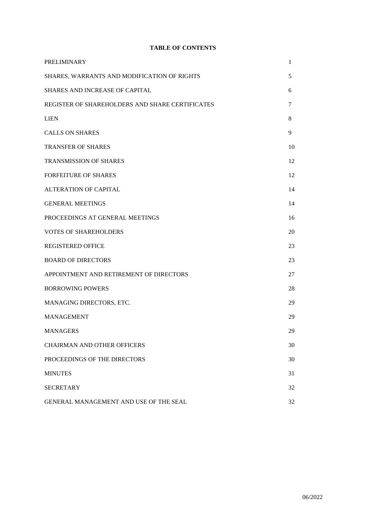# **TABLE OF CONTENTS**

| <b>PRELIMINARY</b>                              | 1  |
|-------------------------------------------------|----|
| SHARES, WARRANTS AND MODIFICATION OF RIGHTS     | 5  |
| SHARES AND INCREASE OF CAPITAL                  | 6  |
| REGISTER OF SHAREHOLDERS AND SHARE CERTIFICATES | 7  |
| <b>LIEN</b>                                     | 8  |
| <b>CALLS ON SHARES</b>                          | 9  |
| <b>TRANSFER OF SHARES</b>                       | 10 |
| <b>TRANSMISSION OF SHARES</b>                   | 12 |
| <b>FORFEITURE OF SHARES</b>                     | 12 |
| <b>ALTERATION OF CAPITAL</b>                    | 14 |
| <b>GENERAL MEETINGS</b>                         | 14 |
| PROCEEDINGS AT GENERAL MEETINGS                 | 16 |
| <b>VOTES OF SHAREHOLDERS</b>                    | 20 |
| <b>REGISTERED OFFICE</b>                        | 23 |
| <b>BOARD OF DIRECTORS</b>                       | 23 |
| APPOINTMENT AND RETIREMENT OF DIRECTORS         | 27 |
| <b>BORROWING POWERS</b>                         | 28 |
| MANAGING DIRECTORS, ETC.                        | 29 |
| <b>MANAGEMENT</b>                               | 29 |
| <b>MANAGERS</b>                                 | 29 |
| <b>CHAIRMAN AND OTHER OFFICERS</b>              | 30 |
| PROCEEDINGS OF THE DIRECTORS                    | 30 |
| <b>MINUTES</b>                                  | 31 |
| <b>SECRETARY</b>                                | 32 |
| GENERAL MANAGEMENT AND USE OF THE SEAL          | 32 |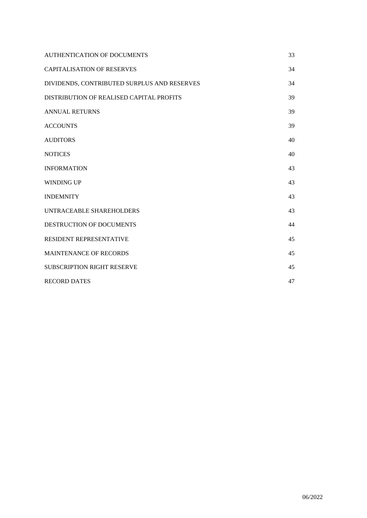| AUTHENTICATION OF DOCUMENTS                 | 33 |
|---------------------------------------------|----|
| <b>CAPITALISATION OF RESERVES</b>           | 34 |
| DIVIDENDS, CONTRIBUTED SURPLUS AND RESERVES | 34 |
| DISTRIBUTION OF REALISED CAPITAL PROFITS    | 39 |
| <b>ANNUAL RETURNS</b>                       | 39 |
| <b>ACCOUNTS</b>                             | 39 |
| <b>AUDITORS</b>                             | 40 |
| <b>NOTICES</b>                              | 40 |
| <b>INFORMATION</b>                          | 43 |
| <b>WINDING UP</b>                           | 43 |
| <b>INDEMNITY</b>                            | 43 |
| UNTRACEABLE SHAREHOLDERS                    | 43 |
| DESTRUCTION OF DOCUMENTS                    | 44 |
| RESIDENT REPRESENTATIVE                     | 45 |
| <b>MAINTENANCE OF RECORDS</b>               | 45 |
| <b>SUBSCRIPTION RIGHT RESERVE</b>           | 45 |
| <b>RECORD DATES</b>                         | 47 |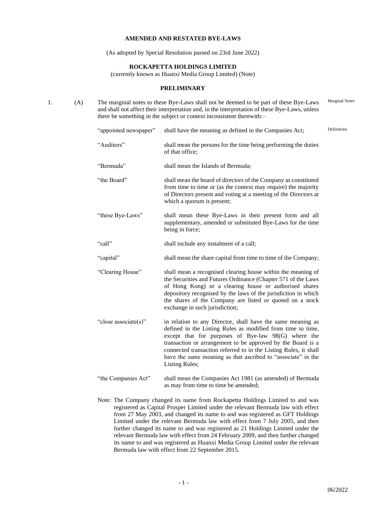### **AMENDED AND RESTATED BYE-LAWS**

(As adopted by Special Resolution passed on 23rd June 2022)

#### **ROCKAPETTA HOLDINGS LIMITED**

(currently known as Huanxi Media Group Limited) (Note)

#### **PRELIMINARY**

1. (A) The marginal notes to these Bye-Laws shall not be deemed to be part of these Bye-Laws and shall not affect their interpretation and, in the interpretation of these Bye-Laws, unless there be something in the subject or context inconsistent therewith:– Marginal Notes

| "appointed newspaper" | shall have the meaning as defined in the Companies Act;                                                                                                                                                                                                                                                                                                                                                       | Definitions |
|-----------------------|---------------------------------------------------------------------------------------------------------------------------------------------------------------------------------------------------------------------------------------------------------------------------------------------------------------------------------------------------------------------------------------------------------------|-------------|
| "Auditors"            | shall mean the persons for the time being performing the duties<br>of that office;                                                                                                                                                                                                                                                                                                                            |             |
| "Bermuda"             | shall mean the Islands of Bermuda;                                                                                                                                                                                                                                                                                                                                                                            |             |
| "the Board"           | shall mean the board of directors of the Company as constituted<br>from time to time or (as the context may require) the majority<br>of Directors present and voting at a meeting of the Directors at<br>which a quorum is present;                                                                                                                                                                           |             |
| "these Bye-Laws"      | shall mean these Bye-Laws in their present form and all<br>supplementary, amended or substituted Bye-Laws for the time<br>being in force;                                                                                                                                                                                                                                                                     |             |
| "call"                | shall include any instalment of a call;                                                                                                                                                                                                                                                                                                                                                                       |             |
| "capital"             | shall mean the share capital from time to time of the Company;                                                                                                                                                                                                                                                                                                                                                |             |
| "Clearing House"      | shall mean a recognised clearing house within the meaning of<br>the Securities and Futures Ordinance (Chapter 571 of the Laws<br>of Hong Kong) or a clearing house or authorised shares<br>depository recognised by the laws of the jurisdiction in which<br>the shares of the Company are listed or quoted on a stock<br>exchange in such jurisdiction;                                                      |             |
| "close associate(s)"  | in relation to any Director, shall have the same meaning as<br>defined in the Listing Rules as modified from time to time,<br>except that for purposes of Bye-law 98(G) where the<br>transaction or arrangement to be approved by the Board is a<br>connected transaction referred to in the Listing Rules, it shall<br>have the same meaning as that ascribed to "associate" in the<br><b>Listing Rules;</b> |             |
| "the Companies Act"   | shall mean the Companies Act 1981 (as amended) of Bermuda<br>as may from time to time be amended;                                                                                                                                                                                                                                                                                                             |             |

Note: The Company changed its name from Rockapetta Holdings Limited to and was registered as Capital Prosper Limited under the relevant Bermuda law with effect from 27 May 2003, and changed its name to and was registered as GFT Holdings Limited under the relevant Bermuda law with effect from 7 July 2005, and then further changed its name to and was registered as 21 Holdings Limited under the relevant Bermuda law with effect from 24 February 2009, and then further changed its name to and was registered as Huanxi Media Group Limited under the relevant Bermuda law with effect from 22 September 2015.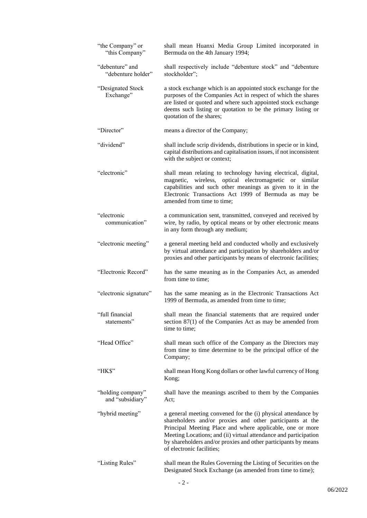| "the Company" or<br>"this Company"    | shall mean Huanxi Media Group Limited incorporated in<br>Bermuda on the 4th January 1994;                                                                                                                                                                                                                                                                  |
|---------------------------------------|------------------------------------------------------------------------------------------------------------------------------------------------------------------------------------------------------------------------------------------------------------------------------------------------------------------------------------------------------------|
| "debenture" and<br>"debenture holder" | shall respectively include "debenture stock" and "debenture<br>stockholder";                                                                                                                                                                                                                                                                               |
| "Designated Stock<br>Exchange"        | a stock exchange which is an appointed stock exchange for the<br>purposes of the Companies Act in respect of which the shares<br>are listed or quoted and where such appointed stock exchange<br>deems such listing or quotation to be the primary listing or<br>quotation of the shares;                                                                  |
| "Director"                            | means a director of the Company;                                                                                                                                                                                                                                                                                                                           |
| "dividend"                            | shall include scrip dividends, distributions in specie or in kind,<br>capital distributions and capitalisation issues, if not inconsistent<br>with the subject or context;                                                                                                                                                                                 |
| "electronic"                          | shall mean relating to technology having electrical, digital,<br>magnetic, wireless, optical electromagnetic or similar<br>capabilities and such other meanings as given to it in the<br>Electronic Transactions Act 1999 of Bermuda as may be<br>amended from time to time;                                                                               |
| "electronic<br>communication"         | a communication sent, transmitted, conveyed and received by<br>wire, by radio, by optical means or by other electronic means<br>in any form through any medium;                                                                                                                                                                                            |
| "electronic meeting"                  | a general meeting held and conducted wholly and exclusively<br>by virtual attendance and participation by shareholders and/or<br>proxies and other participants by means of electronic facilities;                                                                                                                                                         |
| "Electronic Record"                   | has the same meaning as in the Companies Act, as amended<br>from time to time;                                                                                                                                                                                                                                                                             |
| "electronic signature"                | has the same meaning as in the Electronic Transactions Act<br>1999 of Bermuda, as amended from time to time;                                                                                                                                                                                                                                               |
| "full financial<br>statements"        | shall mean the financial statements that are required under<br>section $87(1)$ of the Companies Act as may be amended from<br>time to time;                                                                                                                                                                                                                |
| "Head Office"                         | shall mean such office of the Company as the Directors may<br>from time to time determine to be the principal office of the<br>Company;                                                                                                                                                                                                                    |
| "HK\$"                                | shall mean Hong Kong dollars or other lawful currency of Hong<br>Kong;                                                                                                                                                                                                                                                                                     |
| "holding company"<br>and "subsidiary" | shall have the meanings ascribed to them by the Companies<br>Act;                                                                                                                                                                                                                                                                                          |
| "hybrid meeting"                      | a general meeting convened for the (i) physical attendance by<br>shareholders and/or proxies and other participants at the<br>Principal Meeting Place and where applicable, one or more<br>Meeting Locations; and (ii) virtual attendance and participation<br>by shareholders and/or proxies and other participants by means<br>of electronic facilities; |
| "Listing Rules"                       | shall mean the Rules Governing the Listing of Securities on the<br>Designated Stock Exchange (as amended from time to time);                                                                                                                                                                                                                               |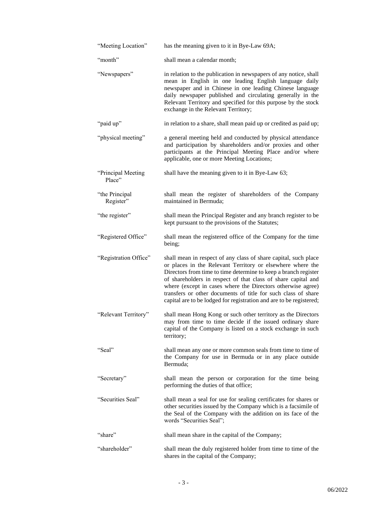| "Meeting Location"           | has the meaning given to it in Bye-Law 69A;                                                                                                                                                                                                                                                                                                                                                                                                                              |
|------------------------------|--------------------------------------------------------------------------------------------------------------------------------------------------------------------------------------------------------------------------------------------------------------------------------------------------------------------------------------------------------------------------------------------------------------------------------------------------------------------------|
| "month"                      | shall mean a calendar month;                                                                                                                                                                                                                                                                                                                                                                                                                                             |
| "Newspapers"                 | in relation to the publication in newspapers of any notice, shall<br>mean in English in one leading English language daily<br>newspaper and in Chinese in one leading Chinese language<br>daily newspaper published and circulating generally in the<br>Relevant Territory and specified for this purpose by the stock<br>exchange in the Relevant Territory;                                                                                                            |
| "paid up"                    | in relation to a share, shall mean paid up or credited as paid up;                                                                                                                                                                                                                                                                                                                                                                                                       |
| "physical meeting"           | a general meeting held and conducted by physical attendance<br>and participation by shareholders and/or proxies and other<br>participants at the Principal Meeting Place and/or where<br>applicable, one or more Meeting Locations;                                                                                                                                                                                                                                      |
| "Principal Meeting<br>Place" | shall have the meaning given to it in Bye-Law 63;                                                                                                                                                                                                                                                                                                                                                                                                                        |
| "the Principal<br>Register"  | shall mean the register of shareholders of the Company<br>maintained in Bermuda;                                                                                                                                                                                                                                                                                                                                                                                         |
| "the register"               | shall mean the Principal Register and any branch register to be<br>kept pursuant to the provisions of the Statutes;                                                                                                                                                                                                                                                                                                                                                      |
| "Registered Office"          | shall mean the registered office of the Company for the time<br>being;                                                                                                                                                                                                                                                                                                                                                                                                   |
| "Registration Office"        | shall mean in respect of any class of share capital, such place<br>or places in the Relevant Territory or elsewhere where the<br>Directors from time to time determine to keep a branch register<br>of shareholders in respect of that class of share capital and<br>where (except in cases where the Directors otherwise agree)<br>transfers or other documents of title for such class of share<br>capital are to be lodged for registration and are to be registered; |
| "Relevant Territory"         | shall mean Hong Kong or such other territory as the Directors<br>may from time to time decide if the issued ordinary share<br>capital of the Company is listed on a stock exchange in such<br>territory;                                                                                                                                                                                                                                                                 |
| "Seal"                       | shall mean any one or more common seals from time to time of<br>the Company for use in Bermuda or in any place outside<br>Bermuda;                                                                                                                                                                                                                                                                                                                                       |
| "Secretary"                  | shall mean the person or corporation for the time being<br>performing the duties of that office;                                                                                                                                                                                                                                                                                                                                                                         |
| "Securities Seal"            | shall mean a seal for use for sealing certificates for shares or<br>other securities issued by the Company which is a facsimile of<br>the Seal of the Company with the addition on its face of the<br>words "Securities Seal";                                                                                                                                                                                                                                           |
| "share"                      | shall mean share in the capital of the Company;                                                                                                                                                                                                                                                                                                                                                                                                                          |
| "shareholder"                | shall mean the duly registered holder from time to time of the<br>shares in the capital of the Company;                                                                                                                                                                                                                                                                                                                                                                  |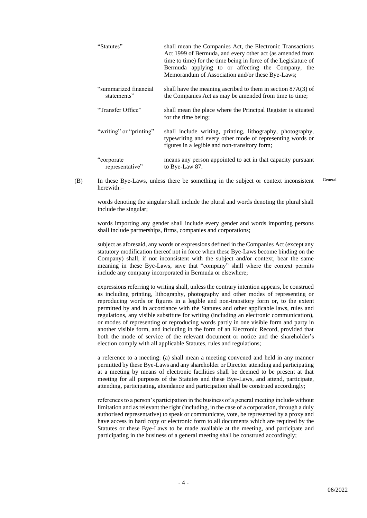| "Statutes"                            | shall mean the Companies Act, the Electronic Transactions<br>Act 1999 of Bermuda, and every other act (as amended from<br>time to time) for the time being in force of the Legislature of<br>Bermuda applying to or affecting the Company, the<br>Memorandum of Association and/or these Bye-Laws; |
|---------------------------------------|----------------------------------------------------------------------------------------------------------------------------------------------------------------------------------------------------------------------------------------------------------------------------------------------------|
| "summarized financial"<br>statements" | shall have the meaning ascribed to them in section $87A(3)$ of<br>the Companies Act as may be amended from time to time;                                                                                                                                                                           |
| "Transfer Office"                     | shall mean the place where the Principal Register is situated<br>for the time being;                                                                                                                                                                                                               |
| "writing" or "printing"               | shall include writing, printing, lithography, photography,<br>typewriting and every other mode of representing words or<br>figures in a legible and non-transitory form;                                                                                                                           |
| "corporate"<br>representative"        | means any person appointed to act in that capacity pursuant<br>to Bye-Law 87.                                                                                                                                                                                                                      |

(B) In these Bye-Laws, unless there be something in the subject or context inconsistent herewith:– General

words denoting the singular shall include the plural and words denoting the plural shall include the singular;

words importing any gender shall include every gender and words importing persons shall include partnerships, firms, companies and corporations;

subject as aforesaid, any words or expressions defined in the Companies Act (except any statutory modification thereof not in force when these Bye-Laws become binding on the Company) shall, if not inconsistent with the subject and/or context, bear the same meaning in these Bye-Laws, save that "company" shall where the context permits include any company incorporated in Bermuda or elsewhere;

expressions referring to writing shall, unless the contrary intention appears, be construed as including printing, lithography, photography and other modes of representing or reproducing words or figures in a legible and non-transitory form or, to the extent permitted by and in accordance with the Statutes and other applicable laws, rules and regulations, any visible substitute for writing (including an electronic communication), or modes of representing or reproducing words partly in one visible form and party in another visible form, and including in the form of an Electronic Record, provided that both the mode of service of the relevant document or notice and the shareholder's election comply with all applicable Statutes, rules and regulations;

a reference to a meeting: (a) shall mean a meeting convened and held in any manner permitted by these Bye-Laws and any shareholder or Director attending and participating at a meeting by means of electronic facilities shall be deemed to be present at that meeting for all purposes of the Statutes and these Bye-Laws, and attend, participate, attending, participating, attendance and participation shall be construed accordingly;

references to a person's participation in the business of a general meeting include without limitation and as relevant the right (including, in the case of a corporation, through a duly authorised representative) to speak or communicate, vote, be represented by a proxy and have access in hard copy or electronic form to all documents which are required by the Statutes or these Bye-Laws to be made available at the meeting, and participate and participating in the business of a general meeting shall be construed accordingly;

- 4 -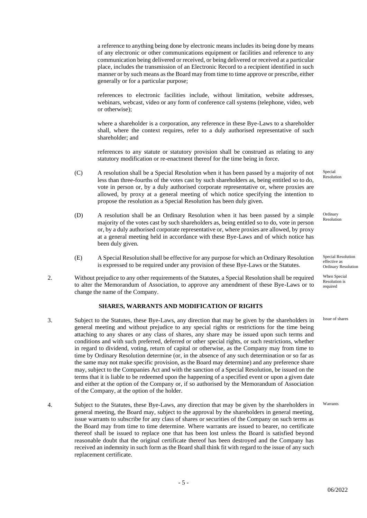a reference to anything being done by electronic means includes its being done by means of any electronic or other communications equipment or facilities and reference to any communication being delivered or received, or being delivered or received at a particular place, includes the transmission of an Electronic Record to a recipient identified in such manner or by such means as the Board may from time to time approve or prescribe, either generally or for a particular purpose;

references to electronic facilities include, without limitation, website addresses, webinars, webcast, video or any form of conference call systems (telephone, video, web or otherwise);

where a shareholder is a corporation, any reference in these Bye-Laws to a shareholder shall, where the context requires, refer to a duly authorised representative of such shareholder; and

references to any statute or statutory provision shall be construed as relating to any statutory modification or re-enactment thereof for the time being in force.

- (C) A resolution shall be a Special Resolution when it has been passed by a majority of not less than three-fourths of the votes cast by such shareholders as, being entitled so to do, vote in person or, by a duly authorised corporate representative or, where proxies are allowed, by proxy at a general meeting of which notice specifying the intention to propose the resolution as a Special Resolution has been duly given.
- (D) A resolution shall be an Ordinary Resolution when it has been passed by a simple majority of the votes cast by such shareholders as, being entitled so to do, vote in person or, by a duly authorised corporate representative or, where proxies are allowed, by proxy at a general meeting held in accordance with these Bye-Laws and of which notice has been duly given.
- (E) A Special Resolution shall be effective for any purpose for which an Ordinary Resolution is expressed to be required under any provision of these Bye-Laws or the Statutes.
- 2. Without prejudice to any other requirements of the Statutes, a Special Resolution shall be required to alter the Memorandum of Association, to approve any amendment of these Bye-Laws or to change the name of the Company.

# **SHARES, WARRANTS AND MODIFICATION OF RIGHTS**

- 3. Subject to the Statutes, these Bye-Laws, any direction that may be given by the shareholders in general meeting and without prejudice to any special rights or restrictions for the time being attaching to any shares or any class of shares, any share may be issued upon such terms and conditions and with such preferred, deferred or other special rights, or such restrictions, whether in regard to dividend, voting, return of capital or otherwise, as the Company may from time to time by Ordinary Resolution determine (or, in the absence of any such determination or so far as the same may not make specific provision, as the Board may determine) and any preference share may, subject to the Companies Act and with the sanction of a Special Resolution, be issued on the terms that it is liable to be redeemed upon the happening of a specified event or upon a given date and either at the option of the Company or, if so authorised by the Memorandum of Association of the Company, at the option of the holder.
- 4. Subject to the Statutes, these Bye-Laws, any direction that may be given by the shareholders in general meeting, the Board may, subject to the approval by the shareholders in general meeting, issue warrants to subscribe for any class of shares or securities of the Company on such terms as the Board may from time to time determine. Where warrants are issued to bearer, no certificate thereof shall be issued to replace one that has been lost unless the Board is satisfied beyond reasonable doubt that the original certificate thereof has been destroyed and the Company has received an indemnity in such form as the Board shall think fit with regard to the issue of any such replacement certificate. Warrants

Special Resolution

Ordinary Resolution

Special Resolution effective as Ordinary Resolution

When Special Resolution is required

Issue of shares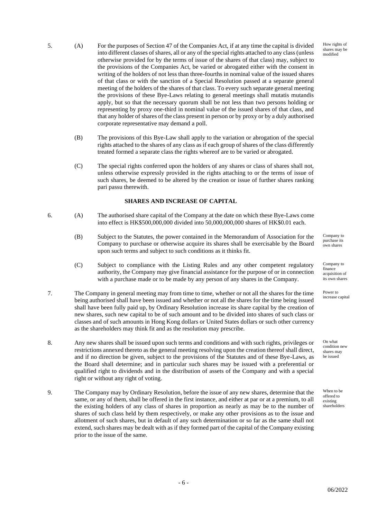How rights of shares may be modified

- 
- 5. (A) For the purposes of Section 47 of the Companies Act, if at any time the capital is divided into different classes of shares, all or any of the special rights attached to any class (unless otherwise provided for by the terms of issue of the shares of that class) may, subject to the provisions of the Companies Act, be varied or abrogated either with the consent in writing of the holders of not less than three-fourths in nominal value of the issued shares of that class or with the sanction of a Special Resolution passed at a separate general meeting of the holders of the shares of that class. To every such separate general meeting the provisions of these Bye-Laws relating to general meetings shall mutatis mutandis apply, but so that the necessary quorum shall be not less than two persons holding or representing by proxy one-third in nominal value of the issued shares of that class, and that any holder of shares of the class present in person or by proxy or by a duly authorised corporate representative may demand a poll.
	- (B) The provisions of this Bye-Law shall apply to the variation or abrogation of the special rights attached to the shares of any class as if each group of shares of the class differently treated formed a separate class the rights whereof are to be varied or abrogated.
	- (C) The special rights conferred upon the holders of any shares or class of shares shall not, unless otherwise expressly provided in the rights attaching to or the terms of issue of such shares, be deemed to be altered by the creation or issue of further shares ranking pari passu therewith.

# **SHARES AND INCREASE OF CAPITAL**

- 6. (A) The authorised share capital of the Company at the date on which these Bye-Laws come into effect is HK\$500,000,000 divided into 50,000,000,000 shares of HK\$0.01 each.
	- (B) Subject to the Statutes, the power contained in the Memorandum of Association for the Company to purchase or otherwise acquire its shares shall be exercisable by the Board upon such terms and subject to such conditions as it thinks fit.
	- (C) Subject to compliance with the Listing Rules and any other competent regulatory authority, the Company may give financial assistance for the purpose of or in connection with a purchase made or to be made by any person of any shares in the Company.
- 7. The Company in general meeting may from time to time, whether or not all the shares for the time being authorised shall have been issued and whether or not all the shares for the time being issued shall have been fully paid up, by Ordinary Resolution increase its share capital by the creation of new shares, such new capital to be of such amount and to be divided into shares of such class or classes and of such amounts in Hong Kong dollars or United States dollars or such other currency as the shareholders may think fit and as the resolution may prescribe.
- 8. Any new shares shall be issued upon such terms and conditions and with such rights, privileges or restrictions annexed thereto as the general meeting resolving upon the creation thereof shall direct, and if no direction be given, subject to the provisions of the Statutes and of these Bye-Laws, as the Board shall determine; and in particular such shares may be issued with a preferential or qualified right to dividends and in the distribution of assets of the Company and with a special right or without any right of voting.
- 9. The Company may by Ordinary Resolution, before the issue of any new shares, determine that the same, or any of them, shall be offered in the first instance, and either at par or at a premium, to all the existing holders of any class of shares in proportion as nearly as may be to the number of shares of such class held by them respectively, or make any other provisions as to the issue and allotment of such shares, but in default of any such determination or so far as the same shall not extend, such shares may be dealt with as if they formed part of the capital of the Company existing prior to the issue of the same.

Company to purchase its own shares

Company to finance acquisition of its own shares

Power to increase capital

On what condition new shares may be issued

When to be offered to existing shareholders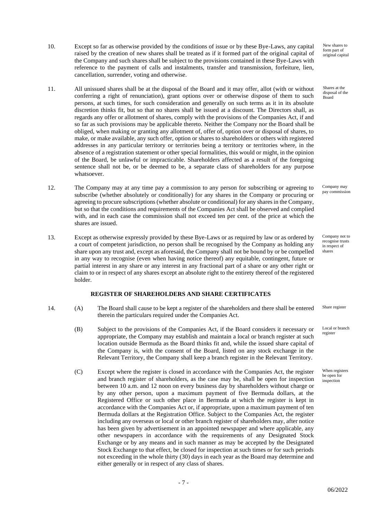- 10. Except so far as otherwise provided by the conditions of issue or by these Bye-Laws, any capital raised by the creation of new shares shall be treated as if it formed part of the original capital of the Company and such shares shall be subject to the provisions contained in these Bye-Laws with reference to the payment of calls and instalments, transfer and transmission, forfeiture, lien, cancellation, surrender, voting and otherwise.
- 11. All unissued shares shall be at the disposal of the Board and it may offer, allot (with or without conferring a right of renunciation), grant options over or otherwise dispose of them to such persons, at such times, for such consideration and generally on such terms as it in its absolute discretion thinks fit, but so that no shares shall be issued at a discount. The Directors shall, as regards any offer or allotment of shares, comply with the provisions of the Companies Act, if and so far as such provisions may be applicable thereto. Neither the Company nor the Board shall be obliged, when making or granting any allotment of, offer of, option over or disposal of shares, to make, or make available, any such offer, option or shares to shareholders or others with registered addresses in any particular territory or territories being a territory or territories where, in the absence of a registration statement or other special formalities, this would or might, in the opinion of the Board, be unlawful or impracticable. Shareholders affected as a result of the foregoing sentence shall not be, or be deemed to be, a separate class of shareholders for any purpose whatsoever.
- 12. The Company may at any time pay a commission to any person for subscribing or agreeing to subscribe (whether absolutely or conditionally) for any shares in the Company or procuring or agreeing to procure subscriptions (whether absolute or conditional) for any shares in the Company, but so that the conditions and requirements of the Companies Act shall be observed and complied with, and in each case the commission shall not exceed ten per cent. of the price at which the shares are issued.
- 13. Except as otherwise expressly provided by these Bye-Laws or as required by law or as ordered by a court of competent jurisdiction, no person shall be recognised by the Company as holding any share upon any trust and, except as aforesaid, the Company shall not be bound by or be compelled in any way to recognise (even when having notice thereof) any equitable, contingent, future or partial interest in any share or any interest in any fractional part of a share or any other right or claim to or in respect of any shares except an absolute right to the entirety thereof of the registered holder.

## **REGISTER OF SHAREHOLDERS AND SHARE CERTIFICATES**

- 14. (A) The Board shall cause to be kept a register of the shareholders and there shall be entered therein the particulars required under the Companies Act.
	- (B) Subject to the provisions of the Companies Act, if the Board considers it necessary or appropriate, the Company may establish and maintain a local or branch register at such location outside Bermuda as the Board thinks fit and, while the issued share capital of the Company is, with the consent of the Board, listed on any stock exchange in the Relevant Territory, the Company shall keep a branch register in the Relevant Territory.
	- (C) Except where the register is closed in accordance with the Companies Act, the register and branch register of shareholders, as the case may be, shall be open for inspection between 10 a.m. and 12 noon on every business day by shareholders without charge or by any other person, upon a maximum payment of five Bermuda dollars, at the Registered Office or such other place in Bermuda at which the register is kept in accordance with the Companies Act or, if appropriate, upon a maximum payment of ten Bermuda dollars at the Registration Office. Subject to the Companies Act, the register including any overseas or local or other branch register of shareholders may, after notice has been given by advertisement in an appointed newspaper and where applicable, any other newspapers in accordance with the requirements of any Designated Stock Exchange or by any means and in such manner as may be accepted by the Designated Stock Exchange to that effect, be closed for inspection at such times or for such periods not exceeding in the whole thirty (30) days in each year as the Board may determine and either generally or in respect of any class of shares.

New shares to form part of original capital

Shares at the disposal of the Board

Company may pay commission

Company not to recognise trusts in respect of shares

Share register

Local or branch register

When registers be open for inspection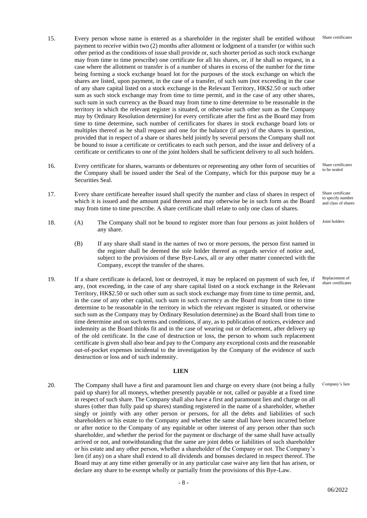- 15. Every person whose name is entered as a shareholder in the register shall be entitled without payment to receive within two (2) months after allotment or lodgment of a transfer (or within such other period as the conditions of issue shall provide or, such shorter period as such stock exchange may from time to time prescribe) one certificate for all his shares, or, if he shall so request, in a case where the allotment or transfer is of a number of shares in excess of the number for the time being forming a stock exchange board lot for the purposes of the stock exchange on which the shares are listed, upon payment, in the case of a transfer, of such sum (not exceeding in the case of any share capital listed on a stock exchange in the Relevant Territory, HK\$2.50 or such other sum as such stock exchange may from time to time permit, and in the case of any other shares, such sum in such currency as the Board may from time to time determine to be reasonable in the territory in which the relevant register is situated, or otherwise such other sum as the Company may by Ordinary Resolution determine) for every certificate after the first as the Board may from time to time determine, such number of certificates for shares in stock exchange board lots or multiples thereof as he shall request and one for the balance (if any) of the shares in question, provided that in respect of a share or shares held jointly by several persons the Company shall not be bound to issue a certificate or certificates to each such person, and the issue and delivery of a certificate or certificates to one of the joint holders shall be sufficient delivery to all such holders.
- 16. Every certificate for shares, warrants or debentures or representing any other form of securities of the Company shall be issued under the Seal of the Company, which for this purpose may be a Securities Seal.
- 17. Every share certificate hereafter issued shall specify the number and class of shares in respect of which it is issued and the amount paid thereon and may otherwise be in such form as the Board may from time to time prescribe. A share certificate shall relate to only one class of shares.
- 18. (A) The Company shall not be bound to register more than four persons as joint holders of any share.
	- (B) If any share shall stand in the names of two or more persons, the person first named in the register shall be deemed the sole holder thereof as regards service of notice and, subject to the provisions of these Bye-Laws, all or any other matter connected with the Company, except the transfer of the shares.
- 19. If a share certificate is defaced, lost or destroyed, it may be replaced on payment of such fee, if any, (not exceeding, in the case of any share capital listed on a stock exchange in the Relevant Territory, HK\$2.50 or such other sum as such stock exchange may from time to time permit, and, in the case of any other capital, such sum in such currency as the Board may from time to time determine to be reasonable in the territory in which the relevant register is situated, or otherwise such sum as the Company may by Ordinary Resolution determine) as the Board shall from time to time determine and on such terms and conditions, if any, as to publication of notices, evidence and indemnity as the Board thinks fit and in the case of wearing out or defacement, after delivery up of the old certificate. In the case of destruction or loss, the person to whom such replacement certificate is given shall also bear and pay to the Company any exceptional costs and the reasonable out-of-pocket expenses incidental to the investigation by the Company of the evidence of such destruction or loss and of such indemnity.

### **LIEN**

20. The Company shall have a first and paramount lien and charge on every share (not being a fully paid up share) for all moneys, whether presently payable or not, called or payable at a fixed time in respect of such share. The Company shall also have a first and paramount lien and charge on all shares (other than fully paid up shares) standing registered in the name of a shareholder, whether singly or jointly with any other person or persons, for all the debts and liabilities of such shareholders or his estate to the Company and whether the same shall have been incurred before or after notice to the Company of any equitable or other interest of any person other than such shareholder, and whether the period for the payment or discharge of the same shall have actually arrived or not, and notwithstanding that the same are joint debts or liabilities of such shareholder or his estate and any other person, whether a shareholder of the Company or not. The Company's lien (if any) on a share shall extend to all dividends and bonuses declared in respect thereof. The Board may at any time either generally or in any particular case waive any lien that has arisen, or declare any share to be exempt wholly or partially from the provisions of this Bye-Law.

Share certificates to be sealed

Share certificates

Share certificate to specify number and class of shares

Joint holders

Replacement of share certificates

Company's lien

06/2022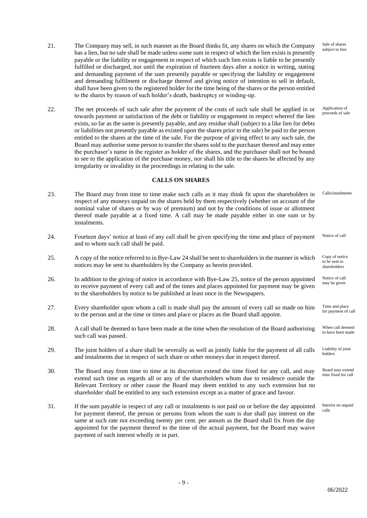Sale of shares subject to lien

Application of proceeds of sale

- 21. The Company may sell, in such manner as the Board thinks fit, any shares on which the Company has a lien, but no sale shall be made unless some sum in respect of which the lien exists is presently payable or the liability or engagement in respect of which such lien exists is liable to be presently fulfilled or discharged, nor until the expiration of fourteen days after a notice in writing, stating and demanding payment of the sum presently payable or specifying the liability or engagement and demanding fulfilment or discharge thereof and giving notice of intention to sell in default, shall have been given to the registered holder for the time being of the shares or the person entitled to the shares by reason of such holder's death, bankruptcy or winding-up.
- 22. The net proceeds of such sale after the payment of the costs of such sale shall be applied in or towards payment or satisfaction of the debt or liability or engagement in respect whereof the lien exists, so far as the same is presently payable, and any residue shall (subject to a like lien for debts or liabilities not presently payable as existed upon the shares prior to the sale) be paid to the person entitled to the shares at the time of the sale. For the purpose of giving effect to any such sale, the Board may authorise some person to transfer the shares sold to the purchaser thereof and may enter the purchaser's name in the register as holder of the shares, and the purchaser shall not be bound to see to the application of the purchase money, nor shall his title to the shares be affected by any irregularity or invalidity in the proceedings in relating to the sale.

# **CALLS ON SHARES**

- 23. The Board may from time to time make such calls as it may think fit upon the shareholders in respect of any moneys unpaid on the shares held by them respectively (whether on account of the nominal value of shares or by way of premium) and not by the conditions of issue or allotment thereof made payable at a fixed time. A call may be made payable either in one sum or by instalments. Calls/instalments
- 24. Fourteen days' notice at least of any call shall be given specifying the time and place of payment and to whom such call shall be paid. Notice of call
- 25. A copy of the notice referred to in Bye-Law 24 shall be sent to shareholders in the manner in which notices may be sent to shareholders by the Company as herein provided. Copy of notice to be sent to shareholders
- 26. In addition to the giving of notice in accordance with Bye-Law 25, notice of the person appointed to receive payment of every call and of the times and places appointed for payment may be given to the shareholders by notice to be published at least once in the Newspapers. Notice of call may be given
- 27. Every shareholder upon whom a call is made shall pay the amount of every call so made on him to the person and at the time or times and place or places as the Board shall appoint. Time and place for payment of call
- 28. A call shall be deemed to have been made at the time when the resolution of the Board authorising such call was passed. When call deemed to have been made
- 29. The joint holders of a share shall be severally as well as jointly liable for the payment of all calls and instalments due in respect of such share or other moneys due in respect thereof. Liability of joint holders
- 30. The Board may from time to time at its discretion extend the time fixed for any call, and may extend such time as regards all or any of the shareholders whom due to residence outside the Relevant Territory or other cause the Board may deem entitled to any such extension but no shareholder shall be entitled to any such extension except as a matter of grace and favour. Board may extend time fixed for call
- 31. If the sum payable in respect of any call or instalments is not paid on or before the day appointed for payment thereof, the person or persons from whom the sum is due shall pay interest on the same at such rate not exceeding twenty per cent. per annum as the Board shall fix from the day appointed for the payment thereof to the time of the actual payment, but the Board may waive payment of such interest wholly or in part. Interest on unpaid calls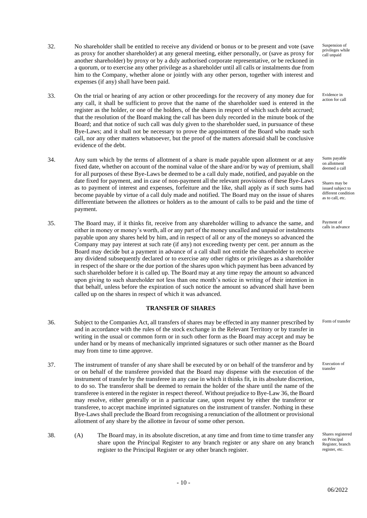- 32. No shareholder shall be entitled to receive any dividend or bonus or to be present and vote (save as proxy for another shareholder) at any general meeting, either personally, or (save as proxy for another shareholder) by proxy or by a duly authorised corporate representative, or be reckoned in a quorum, or to exercise any other privilege as a shareholder until all calls or instalments due from him to the Company, whether alone or jointly with any other person, together with interest and expenses (if any) shall have been paid.
- 33. On the trial or hearing of any action or other proceedings for the recovery of any money due for any call, it shall be sufficient to prove that the name of the shareholder sued is entered in the register as the holder, or one of the holders, of the shares in respect of which such debt accrued; that the resolution of the Board making the call has been duly recorded in the minute book of the Board; and that notice of such call was duly given to the shareholder sued, in pursuance of these Bye-Laws; and it shall not be necessary to prove the appointment of the Board who made such call, nor any other matters whatsoever, but the proof of the matters aforesaid shall be conclusive evidence of the debt.
- 34. Any sum which by the terms of allotment of a share is made payable upon allotment or at any fixed date, whether on account of the nominal value of the share and/or by way of premium, shall for all purposes of these Bye-Laws be deemed to be a call duly made, notified, and payable on the date fixed for payment, and in case of non-payment all the relevant provisions of these Bye-Laws as to payment of interest and expenses, forfeiture and the like, shall apply as if such sums had become payable by virtue of a call duly made and notified. The Board may on the issue of shares differentiate between the allottees or holders as to the amount of calls to be paid and the time of payment.
- 35. The Board may, if it thinks fit, receive from any shareholder willing to advance the same, and either in money or money's worth, all or any part of the money uncalled and unpaid or instalments payable upon any shares held by him, and in respect of all or any of the moneys so advanced the Company may pay interest at such rate (if any) not exceeding twenty per cent. per annum as the Board may decide but a payment in advance of a call shall not entitle the shareholder to receive any dividend subsequently declared or to exercise any other rights or privileges as a shareholder in respect of the share or the due portion of the shares upon which payment has been advanced by such shareholder before it is called up. The Board may at any time repay the amount so advanced upon giving to such shareholder not less than one month's notice in writing of their intention in that behalf, unless before the expiration of such notice the amount so advanced shall have been called up on the shares in respect of which it was advanced.

# **TRANSFER OF SHARES**

- 36. Subject to the Companies Act, all transfers of shares may be effected in any manner prescribed by and in accordance with the rules of the stock exchange in the Relevant Territory or by transfer in writing in the usual or common form or in such other form as the Board may accept and may be under hand or by means of mechanically imprinted signatures or such other manner as the Board may from time to time approve.
- 37. The instrument of transfer of any share shall be executed by or on behalf of the transferor and by or on behalf of the transferee provided that the Board may dispense with the execution of the instrument of transfer by the transferee in any case in which it thinks fit, in its absolute discretion, to do so. The transferor shall be deemed to remain the holder of the share until the name of the transferee is entered in the register in respect thereof. Without prejudice to Bye-Law 36, the Board may resolve, either generally or in a particular case, upon request by either the transferor or transferee, to accept machine imprinted signatures on the instrument of transfer. Nothing in these Bye-Laws shall preclude the Board from recognising a renunciation of the allotment or provisional allotment of any share by the allottee in favour of some other person.
- 38. (A) The Board may, in its absolute discretion, at any time and from time to time transfer any share upon the Principal Register to any branch register or any share on any branch register to the Principal Register or any other branch register.

Suspension of privileges while call unpaid

Evidence in action for call

Sums payable on allotment deemed a call

Shares may be issued subject to different condition as to call, etc.

Payment of calls in advance

Form of transfer

Execution of transfer

Shares registered on Principal Register, branch register, etc.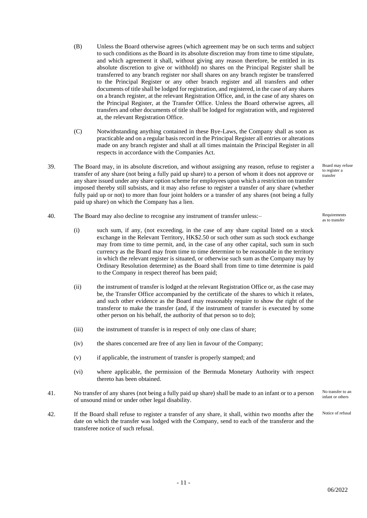- (B) Unless the Board otherwise agrees (which agreement may be on such terms and subject to such conditions as the Board in its absolute discretion may from time to time stipulate, and which agreement it shall, without giving any reason therefore, be entitled in its absolute discretion to give or withhold) no shares on the Principal Register shall be transferred to any branch register nor shall shares on any branch register be transferred to the Principal Register or any other branch register and all transfers and other documents of title shall be lodged for registration, and registered, in the case of any shares on a branch register, at the relevant Registration Office, and, in the case of any shares on the Principal Register, at the Transfer Office. Unless the Board otherwise agrees, all transfers and other documents of title shall be lodged for registration with, and registered at, the relevant Registration Office.
- (C) Notwithstanding anything contained in these Bye-Laws, the Company shall as soon as practicable and on a regular basis record in the Principal Register all entries or alterations made on any branch register and shall at all times maintain the Principal Register in all respects in accordance with the Companies Act.
- 39. The Board may, in its absolute discretion, and without assigning any reason, refuse to register a transfer of any share (not being a fully paid up share) to a person of whom it does not approve or any share issued under any share option scheme for employees upon which a restriction on transfer imposed thereby still subsists, and it may also refuse to register a transfer of any share (whether fully paid up or not) to more than four joint holders or a transfer of any shares (not being a fully paid up share) on which the Company has a lien.
- 40. The Board may also decline to recognise any instrument of transfer unless:–
	- (i) such sum, if any, (not exceeding, in the case of any share capital listed on a stock exchange in the Relevant Territory, HK\$2.50 or such other sum as such stock exchange may from time to time permit, and, in the case of any other capital, such sum in such currency as the Board may from time to time determine to be reasonable in the territory in which the relevant register is situated, or otherwise such sum as the Company may by Ordinary Resolution determine) as the Board shall from time to time determine is paid to the Company in respect thereof has been paid;
	- (ii) the instrument of transfer is lodged at the relevant Registration Office or, as the case may be, the Transfer Office accompanied by the certificate of the shares to which it relates, and such other evidence as the Board may reasonably require to show the right of the transferor to make the transfer (and, if the instrument of transfer is executed by some other person on his behalf, the authority of that person so to do);
	- (iii) the instrument of transfer is in respect of only one class of share;
	- (iv) the shares concerned are free of any lien in favour of the Company;
	- (v) if applicable, the instrument of transfer is properly stamped; and
	- (vi) where applicable, the permission of the Bermuda Monetary Authority with respect thereto has been obtained.
- 41. No transfer of any shares (not being a fully paid up share) shall be made to an infant or to a person of unsound mind or under other legal disability. No transfer to an infant or others
- 42. If the Board shall refuse to register a transfer of any share, it shall, within two months after the date on which the transfer was lodged with the Company, send to each of the transferor and the transferee notice of such refusal. Notice of refusal

Board may refuse to register a transfer

Requirements as to transfer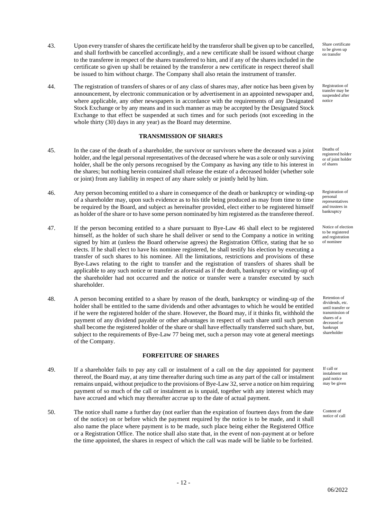- 43. Upon every transfer of shares the certificate held by the transferor shall be given up to be cancelled, and shall forthwith be cancelled accordingly, and a new certificate shall be issued without charge to the transferee in respect of the shares transferred to him, and if any of the shares included in the certificate so given up shall be retained by the transferor a new certificate in respect thereof shall be issued to him without charge. The Company shall also retain the instrument of transfer.
- 44. The registration of transfers of shares or of any class of shares may, after notice has been given by announcement, by electronic communication or by advertisement in an appointed newspaper and, where applicable, any other newspapers in accordance with the requirements of any Designated Stock Exchange or by any means and in such manner as may be accepted by the Designated Stock Exchange to that effect be suspended at such times and for such periods (not exceeding in the whole thirty (30) days in any year) as the Board may determine.

## **TRANSMISSION OF SHARES**

- 45. In the case of the death of a shareholder, the survivor or survivors where the deceased was a joint holder, and the legal personal representatives of the deceased where he was a sole or only surviving holder, shall be the only persons recognised by the Company as having any title to his interest in the shares; but nothing herein contained shall release the estate of a deceased holder (whether sole or joint) from any liability in respect of any share solely or jointly held by him.
- 46. Any person becoming entitled to a share in consequence of the death or bankruptcy or winding-up of a shareholder may, upon such evidence as to his title being produced as may from time to time be required by the Board, and subject as hereinafter provided, elect either to be registered himself as holder of the share or to have some person nominated by him registered as the transferee thereof.
- 47. If the person becoming entitled to a share pursuant to Bye-Law 46 shall elect to be registered himself, as the holder of such share he shall deliver or send to the Company a notice in writing signed by him at (unless the Board otherwise agrees) the Registration Office, stating that he so elects. If he shall elect to have his nominee registered, he shall testify his election by executing a transfer of such shares to his nominee. All the limitations, restrictions and provisions of these Bye-Laws relating to the right to transfer and the registration of transfers of shares shall be applicable to any such notice or transfer as aforesaid as if the death, bankruptcy or winding-up of the shareholder had not occurred and the notice or transfer were a transfer executed by such shareholder.
- 48. A person becoming entitled to a share by reason of the death, bankruptcy or winding-up of the holder shall be entitled to the same dividends and other advantages to which he would be entitled if he were the registered holder of the share. However, the Board may, if it thinks fit, withhold the payment of any dividend payable or other advantages in respect of such share until such person shall become the registered holder of the share or shall have effectually transferred such share, but, subject to the requirements of Bye-Law 77 being met, such a person may vote at general meetings of the Company.

#### **FORFEITURE OF SHARES**

- 49. If a shareholder fails to pay any call or instalment of a call on the day appointed for payment thereof, the Board may, at any time thereafter during such time as any part of the call or instalment remains unpaid, without prejudice to the provisions of Bye-Law 32, serve a notice on him requiring payment of so much of the call or instalment as is unpaid, together with any interest which may have accrued and which may thereafter accrue up to the date of actual payment.
- 50. The notice shall name a further day (not earlier than the expiration of fourteen days from the date of the notice) on or before which the payment required by the notice is to be made, and it shall also name the place where payment is to be made, such place being either the Registered Office or a Registration Office. The notice shall also state that, in the event of non-payment at or before the time appointed, the shares in respect of which the call was made will be liable to be forfeited.

Share certificate to be given up on transfer

Registration of transfer may be suspended after notice

Deaths of registered holder or of joint holder of shares

Registration of personal representatives and trustees in bankruptcy

Notice of election to be registered and registration of nominee

Retention of dividends, etc. until transfer or transmission of shares of a deceased or bankrupt shareholder

If call or instalment not paid notice may be given

Content of notice of call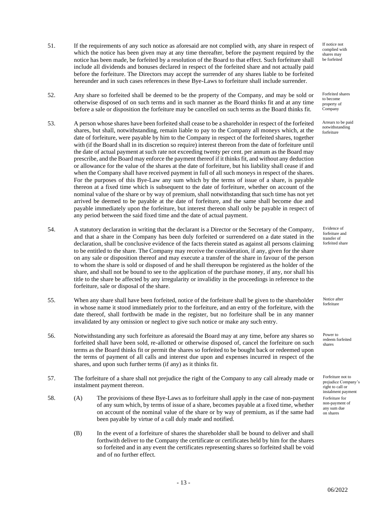- 51. If the requirements of any such notice as aforesaid are not complied with, any share in respect of which the notice has been given may at any time thereafter, before the payment required by the notice has been made, be forfeited by a resolution of the Board to that effect. Such forfeiture shall include all dividends and bonuses declared in respect of the forfeited share and not actually paid before the forfeiture. The Directors may accept the surrender of any shares liable to be forfeited hereunder and in such cases references in these Bye-Laws to forfeiture shall include surrender.
- 52. Any share so forfeited shall be deemed to be the property of the Company, and may be sold or otherwise disposed of on such terms and in such manner as the Board thinks fit and at any time before a sale or disposition the forfeiture may be cancelled on such terms as the Board thinks fit.
- 53. A person whose shares have been forfeited shall cease to be a shareholder in respect of the forfeited shares, but shall, notwithstanding, remain liable to pay to the Company all moneys which, at the date of forfeiture, were payable by him to the Company in respect of the forfeited shares, together with (if the Board shall in its discretion so require) interest thereon from the date of forfeiture until the date of actual payment at such rate not exceeding twenty per cent. per annum as the Board may prescribe, and the Board may enforce the payment thereof if it thinks fit, and without any deduction or allowance for the value of the shares at the date of forfeiture, but his liability shall cease if and when the Company shall have received payment in full of all such moneys in respect of the shares. For the purposes of this Bye-Law any sum which by the terms of issue of a share, is payable thereon at a fixed time which is subsequent to the date of forfeiture, whether on account of the nominal value of the share or by way of premium, shall notwithstanding that such time has not yet arrived be deemed to be payable at the date of forfeiture, and the same shall become due and payable immediately upon the forfeiture, but interest thereon shall only be payable in respect of any period between the said fixed time and the date of actual payment.
- 54. A statutory declaration in writing that the declarant is a Director or the Secretary of the Company, and that a share in the Company has been duly forfeited or surrendered on a date stated in the declaration, shall be conclusive evidence of the facts therein stated as against all persons claiming to be entitled to the share. The Company may receive the consideration, if any, given for the share on any sale or disposition thereof and may execute a transfer of the share in favour of the person to whom the share is sold or disposed of and he shall thereupon be registered as the holder of the share, and shall not be bound to see to the application of the purchase money, if any, nor shall his title to the share be affected by any irregularity or invalidity in the proceedings in reference to the forfeiture, sale or disposal of the share.
- 55. When any share shall have been forfeited, notice of the forfeiture shall be given to the shareholder in whose name it stood immediately prior to the forfeiture, and an entry of the forfeiture, with the date thereof, shall forthwith be made in the register, but no forfeiture shall be in any manner invalidated by any omission or neglect to give such notice or make any such entry.
- 56. Notwithstanding any such forfeiture as aforesaid the Board may at any time, before any shares so forfeited shall have been sold, re-allotted or otherwise disposed of, cancel the forfeiture on such terms as the Board thinks fit or permit the shares so forfeited to be bought back or redeemed upon the terms of payment of all calls and interest due upon and expenses incurred in respect of the shares, and upon such further terms (if any) as it thinks fit.
- 57. The forfeiture of a share shall not prejudice the right of the Company to any call already made or instalment payment thereon.
- 58. (A) The provisions of these Bye-Laws as to forfeiture shall apply in the case of non-payment of any sum which, by terms of issue of a share, becomes payable at a fixed time, whether on account of the nominal value of the share or by way of premium, as if the same had been payable by virtue of a call duly made and notified.
	- (B) In the event of a forfeiture of shares the shareholder shall be bound to deliver and shall forthwith deliver to the Company the certificate or certificates held by him for the shares so forfeited and in any event the certificates representing shares so forfeited shall be void and of no further effect.

If notice not complied with shares may be forfeited

Forfeited shares to become property of Company

Arrears to be paid notwithstanding forfeiture

Evidence of forfeiture and transfer of forfeited share

Notice after forfeiture

Power to redeem forfeited shares

Forfeiture not to prejudice Company's right to call or instalment payment Forfeiture for non-payment of any sum due on shares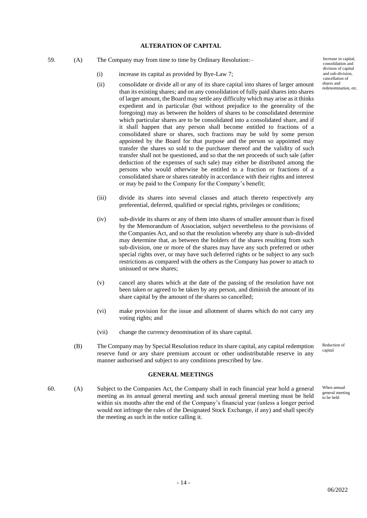### **ALTERATION OF CAPITAL**

- 59. (A) The Company may from time to time by Ordinary Resolution:–
	- (i) increase its capital as provided by Bye-Law 7;
	- (ii) consolidate or divide all or any of its share capital into shares of larger amount than its existing shares; and on any consolidation of fully paid shares into shares of larger amount, the Board may settle any difficulty which may arise as it thinks expedient and in particular (but without prejudice to the generality of the foregoing) may as between the holders of shares to be consolidated determine which particular shares are to be consolidated into a consolidated share, and if it shall happen that any person shall become entitled to fractions of a consolidated share or shares, such fractions may be sold by some person appointed by the Board for that purpose and the person so appointed may transfer the shares so sold to the purchaser thereof and the validity of such transfer shall not be questioned, and so that the net proceeds of such sale (after deduction of the expenses of such sale) may either be distributed among the persons who would otherwise be entitled to a fraction or fractions of a consolidated share or shares rateably in accordance with their rights and interest or may be paid to the Company for the Company's benefit;
	- (iii) divide its shares into several classes and attach thereto respectively any preferential, deferred, qualified or special rights, privileges or conditions;
	- (iv) sub-divide its shares or any of them into shares of smaller amount than is fixed by the Memorandum of Association, subject nevertheless to the provisions of the Companies Act, and so that the resolution whereby any share is sub-divided may determine that, as between the holders of the shares resulting from such sub-division, one or more of the shares may have any such preferred or other special rights over, or may have such deferred rights or be subject to any such restrictions as compared with the others as the Company has power to attach to unissued or new shares;
	- (v) cancel any shares which at the date of the passing of the resolution have not been taken or agreed to be taken by any person, and diminish the amount of its share capital by the amount of the shares so cancelled;
	- (vi) make provision for the issue and allotment of shares which do not carry any voting rights; and
	- (vii) change the currency denomination of its share capital.
	- (B) The Company may by Special Resolution reduce its share capital, any capital redemption reserve fund or any share premium account or other undistributable reserve in any manner authorised and subject to any conditions prescribed by law. Reduction of capital

#### **GENERAL MEETINGS**

60. (A) Subject to the Companies Act, the Company shall in each financial year hold a general meeting as its annual general meeting and such annual general meeting must be held within six months after the end of the Company's financial year (unless a longer period would not infringe the rules of the Designated Stock Exchange, if any) and shall specify the meeting as such in the notice calling it.

Increase in capital, consolidation and division of capital and sub-division, cancellation of shares and redenomination, etc.

When annual general meeting to be held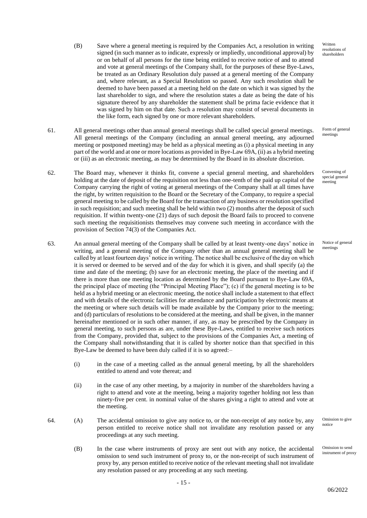- (B) Save where a general meeting is required by the Companies Act, a resolution in writing signed (in such manner as to indicate, expressly or impliedly, unconditional approval) by or on behalf of all persons for the time being entitled to receive notice of and to attend and vote at general meetings of the Company shall, for the purposes of these Bye-Laws, be treated as an Ordinary Resolution duly passed at a general meeting of the Company and, where relevant, as a Special Resolution so passed. Any such resolution shall be deemed to have been passed at a meeting held on the date on which it was signed by the last shareholder to sign, and where the resolution states a date as being the date of his signature thereof by any shareholder the statement shall be prima facie evidence that it was signed by him on that date. Such a resolution may consist of several documents in the like form, each signed by one or more relevant shareholders.
- 61. All general meetings other than annual general meetings shall be called special general meetings. All general meetings of the Company (including an annual general meeting, any adjourned meeting or postponed meeting) may be held as a physical meeting as (i) a physical meeting in any part of the world and at one or more locations as provided in Bye-Law 69A, (ii) as a hybrid meeting or (iii) as an electronic meeting, as may be determined by the Board in its absolute discretion.
- 62. The Board may, whenever it thinks fit, convene a special general meeting, and shareholders holding at the date of deposit of the requisition not less than one-tenth of the paid up capital of the Company carrying the right of voting at general meetings of the Company shall at all times have the right, by written requisition to the Board or the Secretary of the Company, to require a special general meeting to be called by the Board for the transaction of any business or resolution specified in such requisition; and such meeting shall be held within two (2) months after the deposit of such requisition. If within twenty-one (21) days of such deposit the Board fails to proceed to convene such meeting the requisitionists themselves may convene such meeting in accordance with the provision of Section 74(3) of the Companies Act.
- 63. An annual general meeting of the Company shall be called by at least twenty-one days' notice in writing, and a general meeting of the Company other than an annual general meeting shall be called by at least fourteen days' notice in writing. The notice shall be exclusive of the day on which it is served or deemed to be served and of the day for which it is given, and shall specify (a) the time and date of the meeting; (b) save for an electronic meeting, the place of the meeting and if there is more than one meeting location as determined by the Board pursuant to Bye-Law 69A, the principal place of meeting (the "Principal Meeting Place"); (c) if the general meeting is to be held as a hybrid meeting or an electronic meeting, the notice shall include a statement to that effect and with details of the electronic facilities for attendance and participation by electronic means at the meeting or where such details will be made available by the Company prior to the meeting; and (d) particulars of resolutions to be considered at the meeting, and shall be given, in the manner hereinafter mentioned or in such other manner, if any, as may be prescribed by the Company in general meeting, to such persons as are, under these Bye-Laws, entitled to receive such notices from the Company, provided that, subject to the provisions of the Companies Act, a meeting of the Company shall notwithstanding that it is called by shorter notice than that specified in this Bye-Law be deemed to have been duly called if it is so agreed:–
	- (i) in the case of a meeting called as the annual general meeting, by all the shareholders entitled to attend and vote thereat; and
	- (ii) in the case of any other meeting, by a majority in number of the shareholders having a right to attend and vote at the meeting, being a majority together holding not less than ninety-five per cent. in nominal value of the shares giving a right to attend and vote at the meeting.
- 64. (A) The accidental omission to give any notice to, or the non-receipt of any notice by, any person entitled to receive notice shall not invalidate any resolution passed or any proceedings at any such meeting.
	- (B) In the case where instruments of proxy are sent out with any notice, the accidental omission to send such instrument of proxy to, or the non-receipt of such instrument of proxy by, any person entitled to receive notice of the relevant meeting shall not invalidate any resolution passed or any proceeding at any such meeting.

Written resolutions of shareholders

Form of general meetings

Convening of special general meeting

Notice of general meetings

Omission to give notice

Omission to send instrument of proxy

06/2022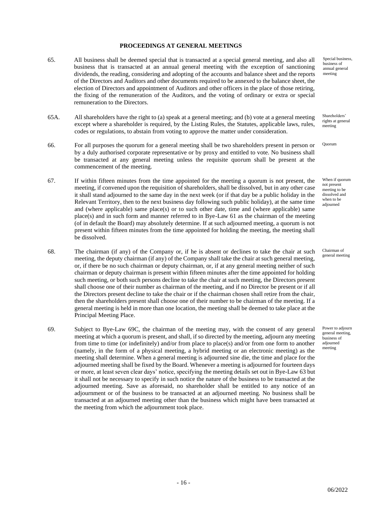# **PROCEEDINGS AT GENERAL MEETINGS**

- 65. All business shall be deemed special that is transacted at a special general meeting, and also all business that is transacted at an annual general meeting with the exception of sanctioning dividends, the reading, considering and adopting of the accounts and balance sheet and the reports of the Directors and Auditors and other documents required to be annexed to the balance sheet, the election of Directors and appointment of Auditors and other officers in the place of those retiring, the fixing of the remuneration of the Auditors, and the voting of ordinary or extra or special remuneration to the Directors.
- 65A. All shareholders have the right to (a) speak at a general meeting; and (b) vote at a general meeting except where a shareholder is required, by the Listing Rules, the Statutes, applicable laws, rules, codes or regulations, to abstain from voting to approve the matter under consideration.
- 66. For all purposes the quorum for a general meeting shall be two shareholders present in person or by a duly authorised corporate representative or by proxy and entitled to vote. No business shall be transacted at any general meeting unless the requisite quorum shall be present at the commencement of the meeting.
- 67. If within fifteen minutes from the time appointed for the meeting a quorum is not present, the meeting, if convened upon the requisition of shareholders, shall be dissolved, but in any other case it shall stand adjourned to the same day in the next week (or if that day be a public holiday in the Relevant Territory, then to the next business day following such public holiday), at the same time and (where applicable) same place(s) or to such other date, time and (where applicable) same  $place(s)$  and in such form and manner referred to in Bye-Law 61 as the chairman of the meeting (of in default the Board) may absolutely determine. If at such adjourned meeting, a quorum is not present within fifteen minutes from the time appointed for holding the meeting, the meeting shall be dissolved.
- 68. The chairman (if any) of the Company or, if he is absent or declines to take the chair at such meeting, the deputy chairman (if any) of the Company shall take the chair at such general meeting, or, if there be no such chairman or deputy chairman, or, if at any general meeting neither of such chairman or deputy chairman is present within fifteen minutes after the time appointed for holding such meeting, or both such persons decline to take the chair at such meeting, the Directors present shall choose one of their number as chairman of the meeting, and if no Director be present or if all the Directors present decline to take the chair or if the chairman chosen shall retire from the chair, then the shareholders present shall choose one of their number to be chairman of the meeting. If a general meeting is held in more than one location, the meeting shall be deemed to take place at the Principal Meeting Place.
- 69. Subject to Bye-Law 69C, the chairman of the meeting may, with the consent of any general meeting at which a quorum is present, and shall, if so directed by the meeting, adjourn any meeting from time to time (or indefinitely) and/or from place to place(s) and/or from one form to another (namely, in the form of a physical meeting, a hybrid meeting or an electronic meeting) as the meeting shall determine. When a general meeting is adjourned sine die, the time and place for the adjourned meeting shall be fixed by the Board. Whenever a meeting is adjourned for fourteen days or more, at least seven clear days' notice, specifying the meeting details set out in Bye-Law 63 but it shall not be necessary to specify in such notice the nature of the business to be transacted at the adjourned meeting. Save as aforesaid, no shareholder shall be entitled to any notice of an adjournment or of the business to be transacted at an adjourned meeting. No business shall be transacted at an adjourned meeting other than the business which might have been transacted at the meeting from which the adjournment took place.

Special business, business of annual general meeting

Shareholders' rights at general meeting

**Ouorum** 

When if quorum not present meeting to be dissolved and when to be adjourned

Chairman of general meeting

Power to adjourn general meeting, business of adjourned meeting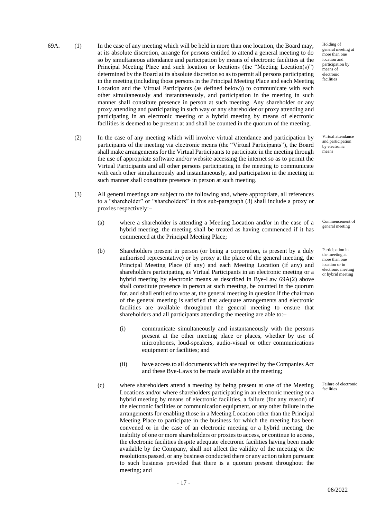- 69A. (1) In the case of any meeting which will be held in more than one location, the Board may, at its absolute discretion, arrange for persons entitled to attend a general meeting to do so by simultaneous attendance and participation by means of electronic facilities at the Principal Meeting Place and such location or locations (the "Meeting Location(s)") determined by the Board at its absolute discretion so as to permit all persons participating in the meeting (including those persons in the Principal Meeting Place and each Meeting Location and the Virtual Participants (as defined below)) to communicate with each other simultaneously and instantaneously, and participation in the meeting in such manner shall constitute presence in person at such meeting. Any shareholder or any proxy attending and participating in such way or any shareholder or proxy attending and participating in an electronic meeting or a hybrid meeting by means of electronic facilities is deemed to be present at and shall be counted in the quorum of the meeting.
	- (2) In the case of any meeting which will involve virtual attendance and participation by participants of the meeting via electronic means (the "Virtual Participants"), the Board shall make arrangements for the Virtual Participants to participate in the meeting through the use of appropriate software and/or website accessing the internet so as to permit the Virtual Participants and all other persons participating in the meeting to communicate with each other simultaneously and instantaneously, and participation in the meeting in such manner shall constitute presence in person at such meeting.
	- (3) All general meetings are subject to the following and, where appropriate, all references to a "shareholder" or "shareholders" in this sub-paragraph (3) shall include a proxy or proxies respectively:–
		- (a) where a shareholder is attending a Meeting Location and/or in the case of a hybrid meeting, the meeting shall be treated as having commenced if it has commenced at the Principal Meeting Place;
		- (b) Shareholders present in person (or being a corporation, is present by a duly authorised representative) or by proxy at the place of the general meeting, the Principal Meeting Place (if any) and each Meeting Location (if any) and shareholders participating as Virtual Participants in an electronic meeting or a hybrid meeting by electronic means as described in Bye-Law 69A(2) above shall constitute presence in person at such meeting, be counted in the quorum for, and shall entitled to vote at, the general meeting in question if the chairman of the general meeting is satisfied that adequate arrangements and electronic facilities are available throughout the general meeting to ensure that shareholders and all participants attending the meeting are able to:–
			- (i) communicate simultaneously and instantaneously with the persons present at the other meeting place or places, whether by use of microphones, loud-speakers, audio-visual or other communications equipment or facilities; and
			- (ii) have access to all documents which are required by the Companies Act and these Bye-Laws to be made available at the meeting;
		- (c) where shareholders attend a meeting by being present at one of the Meeting Locations and/or where shareholders participating in an electronic meeting or a hybrid meeting by means of electronic facilities, a failure (for any reason) of the electronic facilities or communication equipment, or any other failure in the arrangements for enabling those in a Meeting Location other than the Principal Meeting Place to participate in the business for which the meeting has been convened or in the case of an electronic meeting or a hybrid meeting, the inability of one or more shareholders or proxies to access, or continue to access, the electronic facilities despite adequate electronic facilities having been made available by the Company, shall not affect the validity of the meeting or the resolutions passed, or any business conducted there or any action taken pursuant to such business provided that there is a quorum present throughout the meeting; and

Holding of general meeting at more than one location and participation by means of electronic facilities

Virtual attendance and participation by electronic means

Commencement of general meeting

Participation in the meeting at more than one location or in electronic meeting or hybrid meeting

Failure of electronic facilities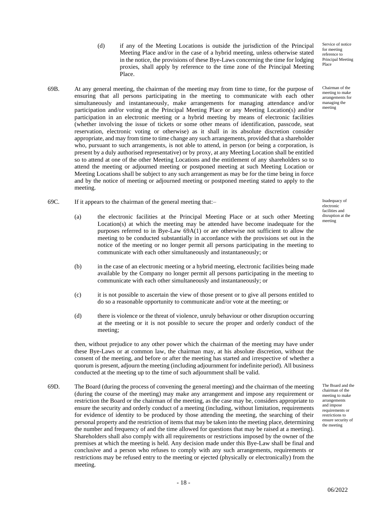(d) if any of the Meeting Locations is outside the jurisdiction of the Principal Meeting Place and/or in the case of a hybrid meeting, unless otherwise stated in the notice, the provisions of these Bye-Laws concerning the time for lodging proxies, shall apply by reference to the time zone of the Principal Meeting Place.

Service of notice for meeting reference to Principal Meeting Place

Chairman of the meeting to make arrangements for managing the meeting

- 69B. At any general meeting, the chairman of the meeting may from time to time, for the purpose of ensuring that all persons participating in the meeting to communicate with each other simultaneously and instantaneously, make arrangements for managing attendance and/or participation and/or voting at the Principal Meeting Place or any Meeting Location(s) and/or participation in an electronic meeting or a hybrid meeting by means of electronic facilities (whether involving the issue of tickets or some other means of identification, passcode, seat reservation, electronic voting or otherwise) as it shall in its absolute discretion consider appropriate, and may from time to time change any such arrangements, provided that a shareholder who, pursuant to such arrangements, is not able to attend, in person (or being a corporation, is present by a duly authorised representative) or by proxy, at any Meeting Location shall be entitled so to attend at one of the other Meeting Locations and the entitlement of any shareholders so to attend the meeting or adjourned meeting or postponed meeting at such Meeting Location or Meeting Locations shall be subject to any such arrangement as may be for the time being in force and by the notice of meeting or adjourned meeting or postponed meeting stated to apply to the meeting.
- 69C. If it appears to the chairman of the general meeting that:–
	- (a) the electronic facilities at the Principal Meeting Place or at such other Meeting Location(s) at which the meeting may be attended have become inadequate for the purposes referred to in Bye-Law 69A(1) or are otherwise not sufficient to allow the meeting to be conducted substantially in accordance with the provisions set out in the notice of the meeting or no longer permit all persons participating in the meeting to communicate with each other simultaneously and instantaneously; or
	- (b) in the case of an electronic meeting or a hybrid meeting, electronic facilities being made available by the Company no longer permit all persons participating in the meeting to communicate with each other simultaneously and instantaneously; or
	- (c) it is not possible to ascertain the view of those present or to give all persons entitled to do so a reasonable opportunity to communicate and/or vote at the meeting; or
	- (d) there is violence or the threat of violence, unruly behaviour or other disruption occurring at the meeting or it is not possible to secure the proper and orderly conduct of the meeting;

then, without prejudice to any other power which the chairman of the meeting may have under these Bye-Laws or at common law, the chairman may, at his absolute discretion, without the consent of the meeting, and before or after the meeting has started and irrespective of whether a quorum is present, adjourn the meeting (including adjournment for indefinite period). All business conducted at the meeting up to the time of such adjournment shall be valid.

69D. The Board (during the process of convening the general meeting) and the chairman of the meeting (during the course of the meeting) may make any arrangement and impose any requirement or restriction the Board or the chairman of the meeting, as the case may be, considers appropriate to ensure the security and orderly conduct of a meeting (including, without limitation, requirements for evidence of identity to be produced by those attending the meeting, the searching of their personal property and the restriction of items that may be taken into the meeting place, determining the number and frequency of and the time allowed for questions that may be raised at a meeting). Shareholders shall also comply with all requirements or restrictions imposed by the owner of the premises at which the meeting is held. Any decision made under this Bye-Law shall be final and conclusive and a person who refuses to comply with any such arrangements, requirements or restrictions may be refused entry to the meeting or ejected (physically or electronically) from the meeting.

Inadequacy of electronic facilities and disruption at the meeting

The Board and the chairman of the meeting to make arrangements and impose requirements or restrictions to ensure security of the meeting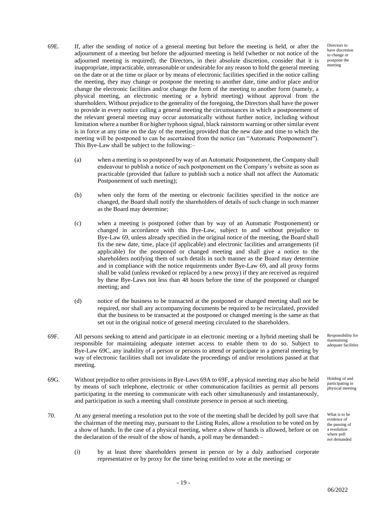Directors to have discretion to change or postpone the meeting

- 69E. If, after the sending of notice of a general meeting but before the meeting is held, or after the adjournment of a meeting but before the adjourned meeting is held (whether or not notice of the adjourned meeting is required), the Directors, in their absolute discretion, consider that it is inappropriate, impracticable, unreasonable or undesirable for any reason to hold the general meeting on the date or at the time or place or by means of electronic facilities specified in the notice calling the meeting, they may change or postpone the meeting to another date, time and/or place and/or change the electronic facilities and/or change the form of the meeting to another form (namely, a physical meeting, an electronic meeting or a hybrid meeting) without approval from the shareholders. Without prejudice to the generality of the foregoing, the Directors shall have the power to provide in every notice calling a general meeting the circumstances in which a postponement of the relevant general meeting may occur automatically without further notice, including without limitation where a number 8 or higher typhoon signal, black rainstorm warning or other similar event is in force at any time on the day of the meeting provided that the new date and time to which the meeting will be postponed to can be ascertained from the notice (an "Automatic Postponement"). This Bye-Law shall be subject to the following:–
	- (a) when a meeting is so postponed by way of an Automatic Postponement, the Company shall endeavour to publish a notice of such postponement on the Company's website as soon as practicable (provided that failure to publish such a notice shall not affect the Automatic Postponement of such meeting);
	- (b) when only the form of the meeting or electronic facilities specified in the notice are changed, the Board shall notify the shareholders of details of such change in such manner as the Board may determine;
	- (c) when a meeting is postponed (other than by way of an Automatic Postponement) or changed in accordance with this Bye-Law, subject to and without prejudice to Bye-Law 69, unless already specified in the original notice of the meeting, the Board shall fix the new date, time, place (if applicable) and electronic facilities and arrangements (if applicable) for the postponed or changed meeting and shall give a notice to the shareholders notifying them of such details in such manner as the Board may determine and in compliance with the notice requirements under Bye-Law 69, and all proxy forms shall be valid (unless revoked or replaced by a new proxy) if they are received as required by these Bye-Laws not less than 48 hours before the time of the postponed or changed meeting; and
	- (d) notice of the business to be transacted at the postponed or changed meeting shall not be required, nor shall any accompanying documents be required to be recirculated, provided that the business to be transacted at the postponed or changed meeting is the same as that set out in the original notice of general meeting circulated to the shareholders.
- 69F. All persons seeking to attend and participate in an electronic meeting or a hybrid meeting shall be responsible for maintaining adequate internet access to enable them to do so. Subject to Bye-Law 69C, any inability of a person or persons to attend or participate in a general meeting by way of electronic facilities shall not invalidate the proceedings of and/or resolutions passed at that meeting.
- 69G. Without prejudice to other provisions in Bye-Laws 69A to 69F, a physical meeting may also be held by means of such telephone, electronic or other communication facilities as permit all persons participating in the meeting to communicate with each other simultaneously and instantaneously, and participation in such a meeting shall constitute presence in person at such meeting.
- 70. At any general meeting a resolution put to the vote of the meeting shall be decided by poll save that the chairman of the meeting may, pursuant to the Listing Rules, allow a resolution to be voted on by a show of hands. In the case of a physical meeting, where a show of hands is allowed, before or on the declaration of the result of the show of hands, a poll may be demanded:–
	- (i) by at least three shareholders present in person or by a duly authorised corporate representative or by proxy for the time being entitled to vote at the meeting; or

Responsibility for maintaining adequate facilities

Holding of and participating in physical meeting

What is to be evidence of the passing of a resolution where poll not demanded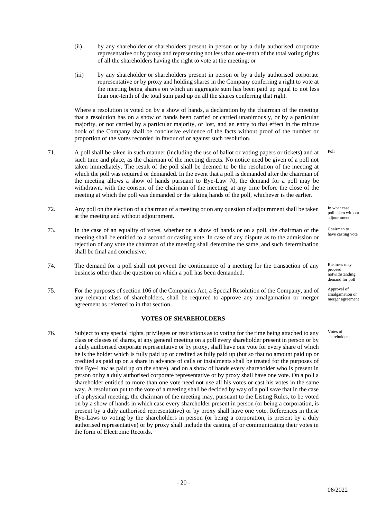- (ii) by any shareholder or shareholders present in person or by a duly authorised corporate representative or by proxy and representing not less than one-tenth of the total voting rights of all the shareholders having the right to vote at the meeting; or
- (iii) by any shareholder or shareholders present in person or by a duly authorised corporate representative or by proxy and holding shares in the Company conferring a right to vote at the meeting being shares on which an aggregate sum has been paid up equal to not less than one-tenth of the total sum paid up on all the shares conferring that right.

Where a resolution is voted on by a show of hands, a declaration by the chairman of the meeting that a resolution has on a show of hands been carried or carried unanimously, or by a particular majority, or not carried by a particular majority, or lost, and an entry to that effect in the minute book of the Company shall be conclusive evidence of the facts without proof of the number or proportion of the votes recorded in favour of or against such resolution.

- 71. A poll shall be taken in such manner (including the use of ballot or voting papers or tickets) and at such time and place, as the chairman of the meeting directs. No notice need be given of a poll not taken immediately. The result of the poll shall be deemed to be the resolution of the meeting at which the poll was required or demanded. In the event that a poll is demanded after the chairman of the meeting allows a show of hands pursuant to Bye-Law 70, the demand for a poll may be withdrawn, with the consent of the chairman of the meeting, at any time before the close of the meeting at which the poll was demanded or the taking hands of the poll, whichever is the earlier.
- 72. Any poll on the election of a chairman of a meeting or on any question of adjournment shall be taken at the meeting and without adjournment.
- 73. In the case of an equality of votes, whether on a show of hands or on a poll, the chairman of the meeting shall be entitled to a second or casting vote. In case of any dispute as to the admission or rejection of any vote the chairman of the meeting shall determine the same, and such determination shall be final and conclusive.
- 74. The demand for a poll shall not prevent the continuance of a meeting for the transaction of any business other than the question on which a poll has been demanded.
- 75. For the purposes of section 106 of the Companies Act, a Special Resolution of the Company, and of any relevant class of shareholders, shall be required to approve any amalgamation or merger agreement as referred to in that section.

### **VOTES OF SHAREHOLDERS**

76. Subject to any special rights, privileges or restrictions as to voting for the time being attached to any class or classes of shares, at any general meeting on a poll every shareholder present in person or by a duly authorised corporate representative or by proxy, shall have one vote for every share of which he is the holder which is fully paid up or credited as fully paid up (but so that no amount paid up or credited as paid up on a share in advance of calls or instalments shall be treated for the purposes of this Bye-Law as paid up on the share), and on a show of hands every shareholder who is present in person or by a duly authorised corporate representative or by proxy shall have one vote. On a poll a shareholder entitled to more than one vote need not use all his votes or cast his votes in the same way. A resolution put to the vote of a meeting shall be decided by way of a poll save that in the case of a physical meeting, the chairman of the meeting may, pursuant to the Listing Rules, to be voted on by a show of hands in which case every shareholder present in person (or being a corporation, is present by a duly authorised representative) or by proxy shall have one vote. References in these Bye-Laws to voting by the shareholders in person (or being a corporation, is present by a duly authorised representative) or by proxy shall include the casting of or communicating their votes in the form of Electronic Records.

In what case poll taken without

Poll

Chairman to have casting vote

.<br>adiournment

Business may proceed notwithstanding demand for poll

Approval of amalgamation or merger agreement

Votes of shareholders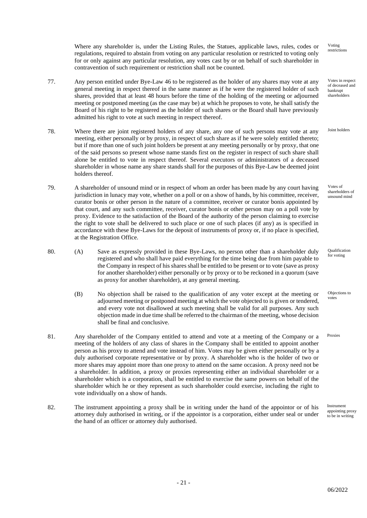Voting restrictions

Votes in respect of deceased and bankrupt shareholders

Joint holders

Votes of shareholders of unsound mind

Qualification for voting

Objections to votes

Instrument appointing proxy to be in writing

Where any shareholder is, under the Listing Rules, the Statues, applicable laws, rules, codes or regulations, required to abstain from voting on any particular resolution or restricted to voting only for or only against any particular resolution, any votes cast by or on behalf of such shareholder in contravention of such requirement or restriction shall not be counted.

- 77. Any person entitled under Bye-Law 46 to be registered as the holder of any shares may vote at any general meeting in respect thereof in the same manner as if he were the registered holder of such shares, provided that at least 48 hours before the time of the holding of the meeting or adjourned meeting or postponed meeting (as the case may be) at which he proposes to vote, he shall satisfy the Board of his right to be registered as the holder of such shares or the Board shall have previously admitted his right to vote at such meeting in respect thereof.
- 78. Where there are joint registered holders of any share, any one of such persons may vote at any meeting, either personally or by proxy, in respect of such share as if he were solely entitled thereto; but if more than one of such joint holders be present at any meeting personally or by proxy, that one of the said persons so present whose name stands first on the register in respect of such share shall alone be entitled to vote in respect thereof. Several executors or administrators of a deceased shareholder in whose name any share stands shall for the purposes of this Bye-Law be deemed joint holders thereof.
- 79. A shareholder of unsound mind or in respect of whom an order has been made by any court having jurisdiction in lunacy may vote, whether on a poll or on a show of hands, by his committee, receiver, curator bonis or other person in the nature of a committee, receiver or curator bonis appointed by that court, and any such committee, receiver, curator bonis or other person may on a poll vote by proxy. Evidence to the satisfaction of the Board of the authority of the person claiming to exercise the right to vote shall be delivered to such place or one of such places (if any) as is specified in accordance with these Bye-Laws for the deposit of instruments of proxy or, if no place is specified, at the Registration Office.
- 80. (A) Save as expressly provided in these Bye-Laws, no person other than a shareholder duly registered and who shall have paid everything for the time being due from him payable to the Company in respect of his shares shall be entitled to be present or to vote (save as proxy for another shareholder) either personally or by proxy or to be reckoned in a quorum (save as proxy for another shareholder), at any general meeting.
	- (B) No objection shall be raised to the qualification of any voter except at the meeting or adjourned meeting or postponed meeting at which the vote objected to is given or tendered, and every vote not disallowed at such meeting shall be valid for all purposes. Any such objection made in due time shall be referred to the chairman of the meeting, whose decision shall be final and conclusive.
- 81. Any shareholder of the Company entitled to attend and vote at a meeting of the Company or a meeting of the holders of any class of shares in the Company shall be entitled to appoint another person as his proxy to attend and vote instead of him. Votes may be given either personally or by a duly authorised corporate representative or by proxy. A shareholder who is the holder of two or more shares may appoint more than one proxy to attend on the same occasion. A proxy need not be a shareholder. In addition, a proxy or proxies representing either an individual shareholder or a shareholder which is a corporation, shall be entitled to exercise the same powers on behalf of the shareholder which he or they represent as such shareholder could exercise, including the right to vote individually on a show of hands. Proxies
- 82. The instrument appointing a proxy shall be in writing under the hand of the appointor or of his attorney duly authorised in writing, or if the appointor is a corporation, either under seal or under the hand of an officer or attorney duly authorised.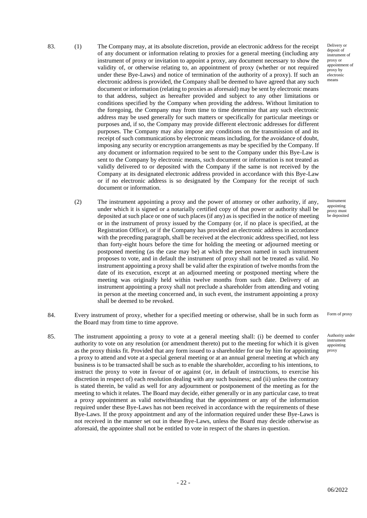83. (1) The Company may, at its absolute discretion, provide an electronic address for the receipt of any document or information relating to proxies for a general meeting (including any instrument of proxy or invitation to appoint a proxy, any document necessary to show the validity of, or otherwise relating to, an appointment of proxy (whether or not required under these Bye-Laws) and notice of termination of the authority of a proxy). If such an electronic address is provided, the Company shall be deemed to have agreed that any such document or information (relating to proxies as aforesaid) may be sent by electronic means to that address, subject as hereafter provided and subject to any other limitations or conditions specified by the Company when providing the address. Without limitation to the foregoing, the Company may from time to time determine that any such electronic address may be used generally for such matters or specifically for particular meetings or purposes and, if so, the Company may provide different electronic addresses for different purposes. The Company may also impose any conditions on the transmission of and its receipt of such communications by electronic means including, for the avoidance of doubt, imposing any security or encryption arrangements as may be specified by the Company. If any document or information required to be sent to the Company under this Bye-Law is sent to the Company by electronic means, such document or information is not treated as validly delivered to or deposited with the Company if the same is not received by the Company at its designated electronic address provided in accordance with this Bye-Law or if no electronic address is so designated by the Company for the receipt of such document or information.

- (2) The instrument appointing a proxy and the power of attorney or other authority, if any, under which it is signed or a notarially certified copy of that power or authority shall be deposited at such place or one of such places (if any) as is specified in the notice of meeting or in the instrument of proxy issued by the Company (or, if no place is specified, at the Registration Office), or if the Company has provided an electronic address in accordance with the preceding paragraph, shall be received at the electronic address specified, not less than forty-eight hours before the time for holding the meeting or adjourned meeting or postponed meeting (as the case may be) at which the person named in such instrument proposes to vote, and in default the instrument of proxy shall not be treated as valid. No instrument appointing a proxy shall be valid after the expiration of twelve months from the date of its execution, except at an adjourned meeting or postponed meeting where the meeting was originally held within twelve months from such date. Delivery of an instrument appointing a proxy shall not preclude a shareholder from attending and voting in person at the meeting concerned and, in such event, the instrument appointing a proxy shall be deemed to be revoked.
- 84. Every instrument of proxy, whether for a specified meeting or otherwise, shall be in such form as the Board may from time to time approve.
- 85. The instrument appointing a proxy to vote at a general meeting shall: (i) be deemed to confer authority to vote on any resolution (or amendment thereto) put to the meeting for which it is given as the proxy thinks fit. Provided that any form issued to a shareholder for use by him for appointing a proxy to attend and vote at a special general meeting or at an annual general meeting at which any business is to be transacted shall be such as to enable the shareholder, according to his intentions, to instruct the proxy to vote in favour of or against (or, in default of instructions, to exercise his discretion in respect of) each resolution dealing with any such business; and (ii) unless the contrary is stated therein, be valid as well for any adjournment or postponement of the meeting as for the meeting to which it relates. The Board may decide, either generally or in any particular case, to treat a proxy appointment as valid notwithstanding that the appointment or any of the information required under these Bye-Laws has not been received in accordance with the requirements of these Bye-Laws. If the proxy appointment and any of the information required under these Bye-Laws is not received in the manner set out in these Bye-Laws, unless the Board may decide otherwise as aforesaid, the appointee shall not be entitled to vote in respect of the shares in question.

Delivery or deposit of instrument of proxy or appointment of proxy by electronic means

Instrument appointing proxy must be deposited

Form of proxy

Authority under instrument appointing proxy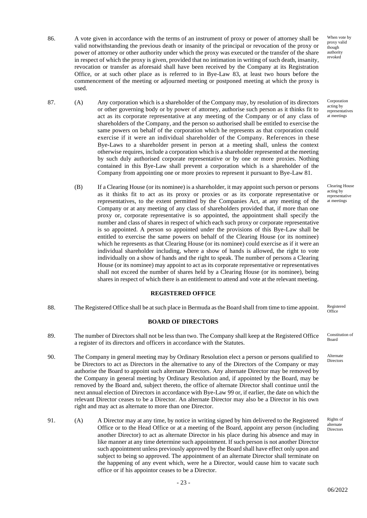- 86. A vote given in accordance with the terms of an instrument of proxy or power of attorney shall be valid notwithstanding the previous death or insanity of the principal or revocation of the proxy or power of attorney or other authority under which the proxy was executed or the transfer of the share in respect of which the proxy is given, provided that no intimation in writing of such death, insanity, revocation or transfer as aforesaid shall have been received by the Company at its Registration Office, or at such other place as is referred to in Bye-Law 83, at least two hours before the commencement of the meeting or adjourned meeting or postponed meeting at which the proxy is used.
- 87. (A) Any corporation which is a shareholder of the Company may, by resolution of its directors or other governing body or by power of attorney, authorise such person as it thinks fit to act as its corporate representative at any meeting of the Company or of any class of shareholders of the Company, and the person so authorised shall be entitled to exercise the same powers on behalf of the corporation which he represents as that corporation could exercise if it were an individual shareholder of the Company. References in these Bye-Laws to a shareholder present in person at a meeting shall, unless the context otherwise requires, include a corporation which is a shareholder represented at the meeting by such duly authorised corporate representative or by one or more proxies. Nothing contained in this Bye-Law shall prevent a corporation which is a shareholder of the Company from appointing one or more proxies to represent it pursuant to Bye-Law 81.
	- (B) If a Clearing House (or its nominee) is a shareholder, it may appoint such person or persons as it thinks fit to act as its proxy or proxies or as its corporate representative or representatives, to the extent permitted by the Companies Act, at any meeting of the Company or at any meeting of any class of shareholders provided that, if more than one proxy or, corporate representative is so appointed, the appointment shall specify the number and class of shares in respect of which each such proxy or corporate representative is so appointed. A person so appointed under the provisions of this Bye-Law shall be entitled to exercise the same powers on behalf of the Clearing House (or its nominee) which he represents as that Clearing House (or its nominee) could exercise as if it were an individual shareholder including, where a show of hands is allowed, the right to vote individually on a show of hands and the right to speak. The number of persons a Clearing House (or its nominee) may appoint to act as its corporate representative or representatives shall not exceed the number of shares held by a Clearing House (or its nominee), being shares in respect of which there is an entitlement to attend and vote at the relevant meeting.

# **REGISTERED OFFICE**

88. The Registered Office shall be at such place in Bermuda as the Board shall from time to time appoint. Registered

#### **BOARD OF DIRECTORS**

- 89. The number of Directors shall not be less than two. The Company shall keep at the Registered Office a register of its directors and officers in accordance with the Statutes.
- 90. The Company in general meeting may by Ordinary Resolution elect a person or persons qualified to be Directors to act as Directors in the alternative to any of the Directors of the Company or may authorise the Board to appoint such alternate Directors. Any alternate Director may be removed by the Company in general meeting by Ordinary Resolution and, if appointed by the Board, may be removed by the Board and, subject thereto, the office of alternate Director shall continue until the next annual election of Directors in accordance with Bye-Law 99 or, if earlier, the date on which the relevant Director ceases to be a Director. An alternate Director may also be a Director in his own right and may act as alternate to more than one Director.
- 91. (A) A Director may at any time, by notice in writing signed by him delivered to the Registered Office or to the Head Office or at a meeting of the Board, appoint any person (including another Director) to act as alternate Director in his place during his absence and may in like manner at any time determine such appointment. If such person is not another Director such appointment unless previously approved by the Board shall have effect only upon and subject to being so approved. The appointment of an alternate Director shall terminate on the happening of any event which, were he a Director, would cause him to vacate such office or if his appointor ceases to be a Director.

Corporation acting by representatives at meetings

Clearing House acting by representative at meetings

**Office** 

Constitution of Board

Alternate Directors

Rights of alternate Directors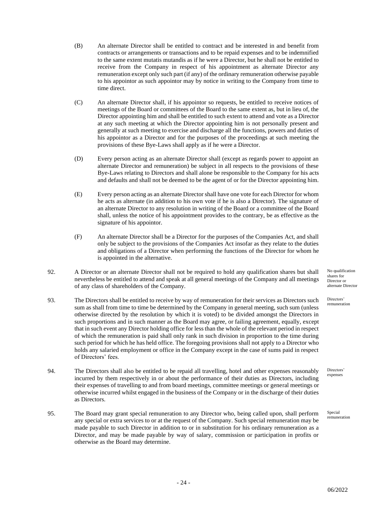- (B) An alternate Director shall be entitled to contract and be interested in and benefit from contracts or arrangements or transactions and to be repaid expenses and to be indemnified to the same extent mutatis mutandis as if he were a Director, but he shall not be entitled to receive from the Company in respect of his appointment as alternate Director any remuneration except only such part (if any) of the ordinary remuneration otherwise payable to his appointor as such appointor may by notice in writing to the Company from time to time direct.
- (C) An alternate Director shall, if his appointor so requests, be entitled to receive notices of meetings of the Board or committees of the Board to the same extent as, but in lieu of, the Director appointing him and shall be entitled to such extent to attend and vote as a Director at any such meeting at which the Director appointing him is not personally present and generally at such meeting to exercise and discharge all the functions, powers and duties of his appointor as a Director and for the purposes of the proceedings at such meeting the provisions of these Bye-Laws shall apply as if he were a Director.
- (D) Every person acting as an alternate Director shall (except as regards power to appoint an alternate Director and remuneration) be subject in all respects to the provisions of these Bye-Laws relating to Directors and shall alone be responsible to the Company for his acts and defaults and shall not be deemed to be the agent of or for the Director appointing him.
- (E) Every person acting as an alternate Director shall have one vote for each Director for whom he acts as alternate (in addition to his own vote if he is also a Director). The signature of an alternate Director to any resolution in writing of the Board or a committee of the Board shall, unless the notice of his appointment provides to the contrary, be as effective as the signature of his appointor.
- (F) An alternate Director shall be a Director for the purposes of the Companies Act, and shall only be subject to the provisions of the Companies Act insofar as they relate to the duties and obligations of a Director when performing the functions of the Director for whom he is appointed in the alternative.
- 92. A Director or an alternate Director shall not be required to hold any qualification shares but shall nevertheless be entitled to attend and speak at all general meetings of the Company and all meetings of any class of shareholders of the Company.
- 93. The Directors shall be entitled to receive by way of remuneration for their services as Directors such sum as shall from time to time be determined by the Company in general meeting, such sum (unless otherwise directed by the resolution by which it is voted) to be divided amongst the Directors in such proportions and in such manner as the Board may agree, or failing agreement, equally, except that in such event any Director holding office for less than the whole of the relevant period in respect of which the remuneration is paid shall only rank in such division in proportion to the time during such period for which he has held office. The foregoing provisions shall not apply to a Director who holds any salaried employment or office in the Company except in the case of sums paid in respect of Directors' fees.
- 94. The Directors shall also be entitled to be repaid all travelling, hotel and other expenses reasonably incurred by them respectively in or about the performance of their duties as Directors, including their expenses of travelling to and from board meetings, committee meetings or general meetings or otherwise incurred whilst engaged in the business of the Company or in the discharge of their duties as Directors.
- 95. The Board may grant special remuneration to any Director who, being called upon, shall perform any special or extra services to or at the request of the Company. Such special remuneration may be made payable to such Director in addition to or in substitution for his ordinary remuneration as a Director, and may be made payable by way of salary, commission or participation in profits or otherwise as the Board may determine.

No qualification shares for Director or alternate Director

Directors' remuneration

Directors' expenses

Special remuneration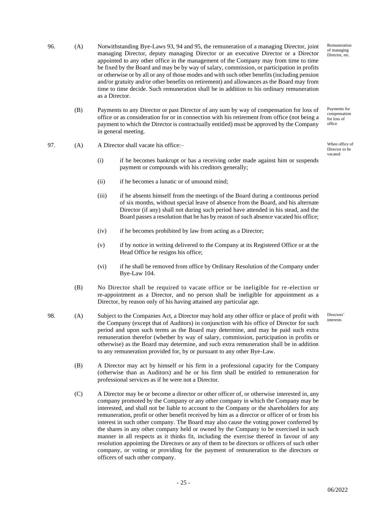- 96. (A) Notwithstanding Bye-Laws 93, 94 and 95, the remuneration of a managing Director, joint managing Director, deputy managing Director or an executive Director or a Director appointed to any other office in the management of the Company may from time to time be fixed by the Board and may be by way of salary, commission, or participation in profits or otherwise or by all or any of those modes and with such other benefits (including pension and/or gratuity and/or other benefits on retirement) and allowances as the Board may from time to time decide. Such remuneration shall be in addition to his ordinary remuneration as a Director.
	- (B) Payments to any Director or past Director of any sum by way of compensation for loss of office or as consideration for or in connection with his retirement from office (not being a payment to which the Director is contractually entitled) must be approved by the Company in general meeting.
- 97. (A) A Director shall vacate his office:– When office of
	- (i) if he becomes bankrupt or has a receiving order made against him or suspends payment or compounds with his creditors generally;
	- (ii) if he becomes a lunatic or of unsound mind;
	- (iii) if he absents himself from the meetings of the Board during a continuous period of six months, without special leave of absence from the Board, and his alternate Director (if any) shall not during such period have attended in his stead, and the Board passes a resolution that he has by reason of such absence vacated his office;
	- (iv) if he becomes prohibited by law from acting as a Director;
	- (v) if by notice in writing delivered to the Company at its Registered Office or at the Head Office he resigns his office;
	- (vi) if he shall be removed from office by Ordinary Resolution of the Company under Bye-Law 104.
	- (B) No Director shall be required to vacate office or be ineligible for re -election or re-appointment as a Director, and no person shall be ineligible for appointment as a Director, by reason only of his having attained any particular age.
- 98. (A) Subject to the Companies Act, a Director may hold any other office or place of profit with the Company (except that of Auditors) in conjunction with his office of Director for such period and upon such terms as the Board may determine, and may be paid such extra remuneration therefor (whether by way of salary, commission, participation in profits or otherwise) as the Board may determine, and such extra remuneration shall be in addition to any remuneration provided for, by or pursuant to any other Bye-Law.
	- (B) A Director may act by himself or his firm in a professional capacity for the Company (otherwise than as Auditors) and he or his firm shall be entitled to remuneration for professional services as if he were not a Director.
	- (C) A Director may be or become a director or other officer of, or otherwise interested in, any company promoted by the Company or any other company in which the Company may be interested, and shall not be liable to account to the Company or the shareholders for any remuneration, profit or other benefit received by him as a director or officer of or from his interest in such other company. The Board may also cause the voting power conferred by the shares in any other company held or owned by the Company to be exercised in such manner in all respects as it thinks fit, including the exercise thereof in favour of any resolution appointing the Directors or any of them to be directors or officers of such other company, or voting or providing for the payment of remuneration to the directors or officers of such other company.

Remuneration of managing Director, etc.

Payments for compensation for loss of office

Director to be vacated

**Directors** interests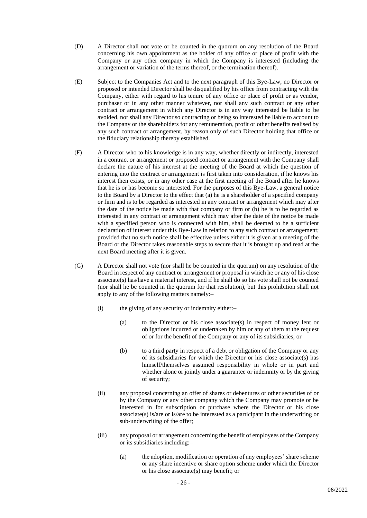- (D) A Director shall not vote or be counted in the quorum on any resolution of the Board concerning his own appointment as the holder of any office or place of profit with the Company or any other company in which the Company is interested (including the arrangement or variation of the terms thereof, or the termination thereof).
- (E) Subject to the Companies Act and to the next paragraph of this Bye-Law, no Director or proposed or intended Director shall be disqualified by his office from contracting with the Company, either with regard to his tenure of any office or place of profit or as vendor, purchaser or in any other manner whatever, nor shall any such contract or any other contract or arrangement in which any Director is in any way interested be liable to be avoided, nor shall any Director so contracting or being so interested be liable to account to the Company or the shareholders for any remuneration, profit or other benefits realised by any such contract or arrangement, by reason only of such Director holding that office or the fiduciary relationship thereby established.
- (F) A Director who to his knowledge is in any way, whether directly or indirectly, interested in a contract or arrangement or proposed contract or arrangement with the Company shall declare the nature of his interest at the meeting of the Board at which the question of entering into the contract or arrangement is first taken into consideration, if he knows his interest then exists, or in any other case at the first meeting of the Board after he knows that he is or has become so interested. For the purposes of this Bye-Law, a general notice to the Board by a Director to the effect that (a) he is a shareholder of a specified company or firm and is to be regarded as interested in any contract or arrangement which may after the date of the notice be made with that company or firm or (b) he is to be regarded as interested in any contract or arrangement which may after the date of the notice be made with a specified person who is connected with him, shall be deemed to be a sufficient declaration of interest under this Bye-Law in relation to any such contract or arrangement; provided that no such notice shall be effective unless either it is given at a meeting of the Board or the Director takes reasonable steps to secure that it is brought up and read at the next Board meeting after it is given.
- (G) A Director shall not vote (nor shall he be counted in the quorum) on any resolution of the Board in respect of any contract or arrangement or proposal in which he or any of his close associate(s) has/have a material interest, and if he shall do so his vote shall not be counted (nor shall he be counted in the quorum for that resolution), but this prohibition shall not apply to any of the following matters namely:–
	- (i) the giving of any security or indemnity either:–
		- (a) to the Director or his close associate(s) in respect of money lent or obligations incurred or undertaken by him or any of them at the request of or for the benefit of the Company or any of its subsidiaries; or
		- (b) to a third party in respect of a debt or obligation of the Company or any of its subsidiaries for which the Director or his close associate(s) has himself/themselves assumed responsibility in whole or in part and whether alone or jointly under a guarantee or indemnity or by the giving of security;
	- (ii) any proposal concerning an offer of shares or debentures or other securities of or by the Company or any other company which the Company may promote or be interested in for subscription or purchase where the Director or his close associate(s) is/are or is/are to be interested as a participant in the underwriting or sub-underwriting of the offer;
	- (iii) any proposal or arrangement concerning the benefit of employees of the Company or its subsidiaries including:–
		- (a) the adoption, modification or operation of any employees' share scheme or any share incentive or share option scheme under which the Director or his close associate(s) may benefit; or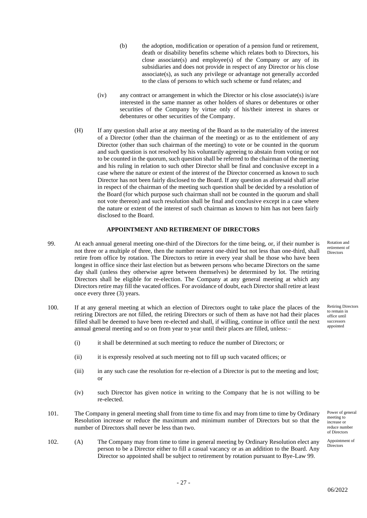- (b) the adoption, modification or operation of a pension fund or retirement, death or disability benefits scheme which relates both to Directors, his close associate(s) and employee(s) of the Company or any of its subsidiaries and does not provide in respect of any Director or his close associate(s), as such any privilege or advantage not generally accorded to the class of persons to which such scheme or fund relates; and
- (iv) any contract or arrangement in which the Director or his close associate(s) is/are interested in the same manner as other holders of shares or debentures or other securities of the Company by virtue only of his/their interest in shares or debentures or other securities of the Company.
- (H) If any question shall arise at any meeting of the Board as to the materiality of the interest of a Director (other than the chairman of the meeting) or as to the entitlement of any Director (other than such chairman of the meeting) to vote or be counted in the quorum and such question is not resolved by his voluntarily agreeing to abstain from voting or not to be counted in the quorum, such question shall be referred to the chairman of the meeting and his ruling in relation to such other Director shall be final and conclusive except in a case where the nature or extent of the interest of the Director concerned as known to such Director has not been fairly disclosed to the Board. If any question as aforesaid shall arise in respect of the chairman of the meeting such question shall be decided by a resolution of the Board (for which purpose such chairman shall not be counted in the quorum and shall not vote thereon) and such resolution shall be final and conclusive except in a case where the nature or extent of the interest of such chairman as known to him has not been fairly disclosed to the Board.

#### **APPOINTMENT AND RETIREMENT OF DIRECTORS**

- 99. At each annual general meeting one-third of the Directors for the time being, or, if their number is not three or a multiple of three, then the number nearest one-third but not less than one-third, shall retire from office by rotation. The Directors to retire in every year shall be those who have been longest in office since their last election but as between persons who became Directors on the same day shall (unless they otherwise agree between themselves) be determined by lot. The retiring Directors shall be eligible for re-election. The Company at any general meeting at which any Directors retire may fill the vacated offices. For avoidance of doubt, each Director shall retire at least once every three (3) years.
- 100. If at any general meeting at which an election of Directors ought to take place the places of the retiring Directors are not filled, the retiring Directors or such of them as have not had their places filled shall be deemed to have been re-elected and shall, if willing, continue in office until the next annual general meeting and so on from year to year until their places are filled, unless:–
	- (i) it shall be determined at such meeting to reduce the number of Directors; or
	- (ii) it is expressly resolved at such meeting not to fill up such vacated offices; or
	- (iii) in any such case the resolution for re-election of a Director is put to the meeting and lost; or
	- (iv) such Director has given notice in writing to the Company that he is not willing to be re-elected.
- 101. The Company in general meeting shall from time to time fix and may from time to time by Ordinary Resolution increase or reduce the maximum and minimum number of Directors but so that the number of Directors shall never be less than two.
- 102. (A) The Company may from time to time in general meeting by Ordinary Resolution elect any person to be a Director either to fill a casual vacancy or as an addition to the Board. Any Director so appointed shall be subject to retirement by rotation pursuant to Bye-Law 99.

Rotation and retirement of Directors

Retiring Directors to remain in office until successors appointed

Power of general meeting to increase or reduce number of Directors

Appointment of **Directors**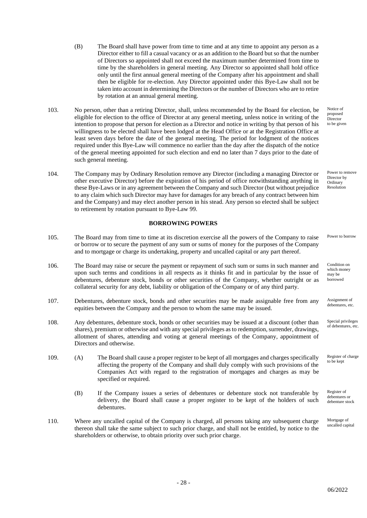- (B) The Board shall have power from time to time and at any time to appoint any person as a Director either to fill a casual vacancy or as an addition to the Board but so that the number of Directors so appointed shall not exceed the maximum number determined from time to time by the shareholders in general meeting. Any Director so appointed shall hold office only until the first annual general meeting of the Company after his appointment and shall then be eligible for re-election. Any Director appointed under this Bye-Law shall not be taken into account in determining the Directors or the number of Directors who are to retire by rotation at an annual general meeting.
- 103. No person, other than a retiring Director, shall, unless recommended by the Board for election, be eligible for election to the office of Director at any general meeting, unless notice in writing of the intention to propose that person for election as a Director and notice in writing by that person of his willingness to be elected shall have been lodged at the Head Office or at the Registration Office at least seven days before the date of the general meeting. The period for lodgment of the notices required under this Bye-Law will commence no earlier than the day after the dispatch of the notice of the general meeting appointed for such election and end no later than 7 days prior to the date of such general meeting.
- 104. The Company may by Ordinary Resolution remove any Director (including a managing Director or other executive Director) before the expiration of his period of office notwithstanding anything in these Bye-Laws or in any agreement between the Company and such Director (but without prejudice to any claim which such Director may have for damages for any breach of any contract between him and the Company) and may elect another person in his stead. Any person so elected shall be subject to retirement by rotation pursuant to Bye-Law 99.

# **BORROWING POWERS**

- 105. The Board may from time to time at its discretion exercise all the powers of the Company to raise or borrow or to secure the payment of any sum or sums of money for the purposes of the Company and to mortgage or charge its undertaking, property and uncalled capital or any part thereof.
- 106. The Board may raise or secure the payment or repayment of such sum or sums in such manner and upon such terms and conditions in all respects as it thinks fit and in particular by the issue of debentures, debenture stock, bonds or other securities of the Company, whether outright or as collateral security for any debt, liability or obligation of the Company or of any third party.
- 107. Debentures, debenture stock, bonds and other securities may be made assignable free from any equities between the Company and the person to whom the same may be issued.
- 108. Any debentures, debenture stock, bonds or other securities may be issued at a discount (other than shares), premium or otherwise and with any special privileges as to redemption, surrender, drawings, allotment of shares, attending and voting at general meetings of the Company, appointment of Directors and otherwise.
- 109. (A) The Board shall cause a proper register to be kept of all mortgages and charges specifically affecting the property of the Company and shall duly comply with such provisions of the Companies Act with regard to the registration of mortgages and charges as may be specified or required.
	- (B) If the Company issues a series of debentures or debenture stock not transferable by delivery, the Board shall cause a proper register to be kept of the holders of such debentures.
- 110. Where any uncalled capital of the Company is charged, all persons taking any subsequent charge thereon shall take the same subject to such prior charge, and shall not be entitled, by notice to the shareholders or otherwise, to obtain priority over such prior charge.

proposed Director to be given

Notice of

Power to remove Director by **Ordinary** Resolution

Power to borrow

Condition on which money may be borrowed

Assignment of debentures, etc.

Special privileges of debentures, etc.

Register of charge to be kept

Register of debentures or debenture stock

Mortgage of uncalled capital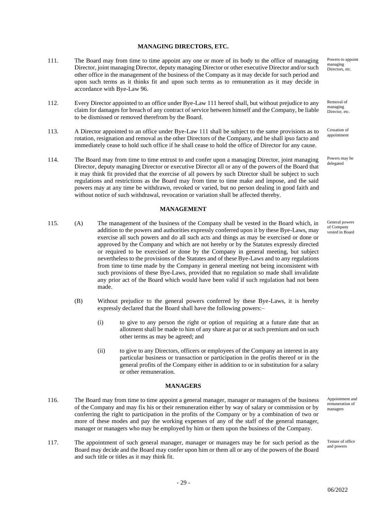#### **MANAGING DIRECTORS, ETC.**

- 111. The Board may from time to time appoint any one or more of its body to the office of managing Director, joint managing Director, deputy managing Director or other executive Director and/or such other office in the management of the business of the Company as it may decide for such period and upon such terms as it thinks fit and upon such terms as to remuneration as it may decide in accordance with Bye-Law 96.
- 112. Every Director appointed to an office under Bye-Law 111 hereof shall, but without prejudice to any claim for damages for breach of any contract of service between himself and the Company, be liable to be dismissed or removed therefrom by the Board.
- 113. A Director appointed to an office under Bye-Law 111 shall be subject to the same provisions as to rotation, resignation and removal as the other Directors of the Company, and he shall ipso facto and immediately cease to hold such office if he shall cease to hold the office of Director for any cause.
- 114. The Board may from time to time entrust to and confer upon a managing Director, joint managing Director, deputy managing Director or executive Director all or any of the powers of the Board that it may think fit provided that the exercise of all powers by such Director shall be subject to such regulations and restrictions as the Board may from time to time make and impose, and the said powers may at any time be withdrawn, revoked or varied, but no person dealing in good faith and without notice of such withdrawal, revocation or variation shall be affected thereby.

#### **MANAGEMENT**

- 115. (A) The management of the business of the Company shall be vested in the Board which, in addition to the powers and authorities expressly conferred upon it by these Bye-Laws, may exercise all such powers and do all such acts and things as may be exercised or done or approved by the Company and which are not hereby or by the Statutes expressly directed or required to be exercised or done by the Company in general meeting, but subject nevertheless to the provisions of the Statutes and of these Bye-Laws and to any regulations from time to time made by the Company in general meeting not being inconsistent with such provisions of these Bye-Laws, provided that no regulation so made shall invalidate any prior act of the Board which would have been valid if such regulation had not been made.
	- (B) Without prejudice to the general powers conferred by these Bye-Laws, it is hereby expressly declared that the Board shall have the following powers:–
		- (i) to give to any person the right or option of requiring at a future date that an allotment shall be made to him of any share at par or at such premium and on such other terms as may be agreed; and
		- (ii) to give to any Directors, officers or employees of the Company an interest in any particular business or transaction or participation in the profits thereof or in the general profits of the Company either in addition to or in substitution for a salary or other remuneration.

#### **MANAGERS**

- 116. The Board may from time to time appoint a general manager, manager or managers of the business of the Company and may fix his or their remuneration either by way of salary or commission or by conferring the right to participation in the profits of the Company or by a combination of two or more of these modes and pay the working expenses of any of the staff of the general manager, manager or managers who may be employed by him or them upon the business of the Company.
- 117. The appointment of such general manager, manager or managers may be for such period as the Board may decide and the Board may confer upon him or them all or any of the powers of the Board and such title or titles as it may think fit.

Powers to appoint managing Directors, etc.

Removal of managing Director, etc.

Cessation of appointment

Powers may be delegated

General powers of Company vested in Board

Appointment and remuneration of managers

Tenure of office and powers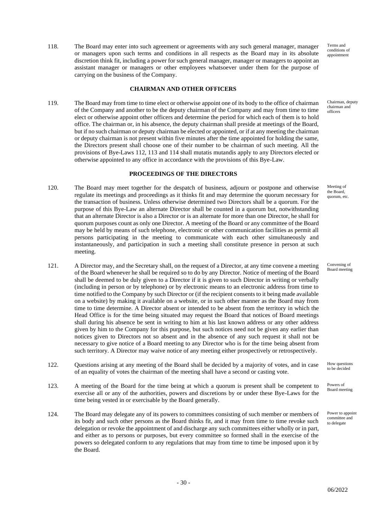118. The Board may enter into such agreement or agreements with any such general manager, manager or managers upon such terms and conditions in all respects as the Board may in its absolute discretion think fit, including a power for such general manager, manager or managers to appoint an assistant manager or managers or other employees whatsoever under them for the purpose of carrying on the business of the Company.

# **CHAIRMAN AND OTHER OFFICERS**

119. The Board may from time to time elect or otherwise appoint one of its body to the office of chairman of the Company and another to be the deputy chairman of the Company and may from time to time elect or otherwise appoint other officers and determine the period for which each of them is to hold office. The chairman or, in his absence, the deputy chairman shall preside at meetings of the Board, but if no such chairman or deputy chairman be elected or appointed, or if at any meeting the chairman or deputy chairman is not present within five minutes after the time appointed for holding the same, the Directors present shall choose one of their number to be chairman of such meeting. All the provisions of Bye-Laws 112, 113 and 114 shall mutatis mutandis apply to any Directors elected or otherwise appointed to any office in accordance with the provisions of this Bye-Law.

# **PROCEEDINGS OF THE DIRECTORS**

- 120. The Board may meet together for the despatch of business, adjourn or postpone and otherwise regulate its meetings and proceedings as it thinks fit and may determine the quorum necessary for the transaction of business. Unless otherwise determined two Directors shall be a quorum. For the purpose of this Bye-Law an alternate Director shall be counted in a quorum but, notwithstanding that an alternate Director is also a Director or is an alternate for more than one Director, he shall for quorum purposes count as only one Director. A meeting of the Board or any committee of the Board may be held by means of such telephone, electronic or other communication facilities as permit all persons participating in the meeting to communicate with each other simultaneously and instantaneously, and participation in such a meeting shall constitute presence in person at such meeting.
- 121. A Director may, and the Secretary shall, on the request of a Director, at any time convene a meeting of the Board whenever he shall be required so to do by any Director. Notice of meeting of the Board shall be deemed to be duly given to a Director if it is given to such Director in writing or verbally (including in person or by telephone) or by electronic means to an electronic address from time to time notified to the Company by such Director or (if the recipient consents to it being made available on a website) by making it available on a website, or in such other manner as the Board may from time to time determine. A Director absent or intended to be absent from the territory in which the Head Office is for the time being situated may request the Board that notices of Board meetings shall during his absence be sent in writing to him at his last known address or any other address given by him to the Company for this purpose, but such notices need not be given any earlier than notices given to Directors not so absent and in the absence of any such request it shall not be necessary to give notice of a Board meeting to any Director who is for the time being absent from such territory. A Director may waive notice of any meeting either prospectively or retrospectively.
- 122. Questions arising at any meeting of the Board shall be decided by a majority of votes, and in case of an equality of votes the chairman of the meeting shall have a second or casting vote.
- 123. A meeting of the Board for the time being at which a quorum is present shall be competent to exercise all or any of the authorities, powers and discretions by or under these Bye-Laws for the time being vested in or exercisable by the Board generally.
- 124. The Board may delegate any of its powers to committees consisting of such member or members of its body and such other persons as the Board thinks fit, and it may from time to time revoke such delegation or revoke the appointment of and discharge any such committees either wholly or in part, and either as to persons or purposes, but every committee so formed shall in the exercise of the powers so delegated conform to any regulations that may from time to time be imposed upon it by the Board.

Terms and conditions of appointment

Chairman, deputy chairman and officers

Meeting of the Board, quorum, etc.

Convening of Board meeting

How questions to be decided

Powers of Board meeting

Power to appoint committee and to delegate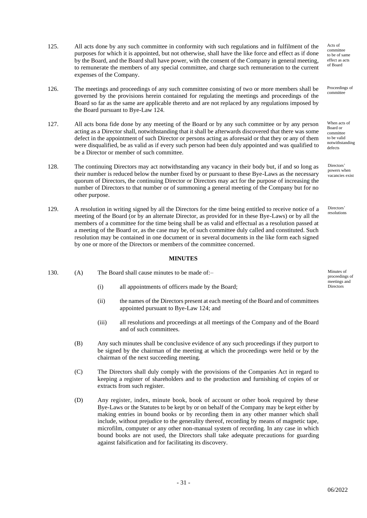- 125. All acts done by any such committee in conformity with such regulations and in fulfilment of the purposes for which it is appointed, but not otherwise, shall have the like force and effect as if done by the Board, and the Board shall have power, with the consent of the Company in general meeting, to remunerate the members of any special committee, and charge such remuneration to the current expenses of the Company.
- 126. The meetings and proceedings of any such committee consisting of two or more members shall be governed by the provisions herein contained for regulating the meetings and proceedings of the Board so far as the same are applicable thereto and are not replaced by any regulations imposed by the Board pursuant to Bye-Law 124.
- 127. All acts bona fide done by any meeting of the Board or by any such committee or by any person acting as a Director shall, notwithstanding that it shall be afterwards discovered that there was some defect in the appointment of such Director or persons acting as aforesaid or that they or any of them were disqualified, be as valid as if every such person had been duly appointed and was qualified to be a Director or member of such committee.
- 128. The continuing Directors may act notwithstanding any vacancy in their body but, if and so long as their number is reduced below the number fixed by or pursuant to these Bye-Laws as the necessary quorum of Directors, the continuing Director or Directors may act for the purpose of increasing the number of Directors to that number or of summoning a general meeting of the Company but for no other purpose.
- 129. A resolution in writing signed by all the Directors for the time being entitled to receive notice of a meeting of the Board (or by an alternate Director, as provided for in these Bye-Laws) or by all the members of a committee for the time being shall be as valid and effectual as a resolution passed at a meeting of the Board or, as the case may be, of such committee duly called and constituted. Such resolution may be contained in one document or in several documents in the like form each signed by one or more of the Directors or members of the committee concerned.

### **MINUTES**

- 130. (A) The Board shall cause minutes to be made of:-
	- $\delta$  all appointments of officers made by the Board;
	- (ii) the names of the Directors present at each meeting of the Board and of committees appointed pursuant to Bye-Law 124; and
	- (iii) all resolutions and proceedings at all meetings of the Company and of the Board and of such committees.
	- (B) Any such minutes shall be conclusive evidence of any such proceedings if they purport to be signed by the chairman of the meeting at which the proceedings were held or by the chairman of the next succeeding meeting.
	- (C) The Directors shall duly comply with the provisions of the Companies Act in regard to keeping a register of shareholders and to the production and furnishing of copies of or extracts from such register.
	- (D) Any register, index, minute book, book of account or other book required by these Bye-Laws or the Statutes to be kept by or on behalf of the Company may be kept either by making entries in bound books or by recording them in any other manner which shall include, without prejudice to the generality thereof, recording by means of magnetic tape, microfilm, computer or any other non-manual system of recording. In any case in which bound books are not used, the Directors shall take adequate precautions for guarding against falsification and for facilitating its discovery.

Acts of committee to be of same effect as acts of Board

Proceedings of committee

When acts of Board or committee to be valid notwithstanding defects

Directors' powers when vacancies exist

Directors' resolutions

proceedings of meetings and<br>Directors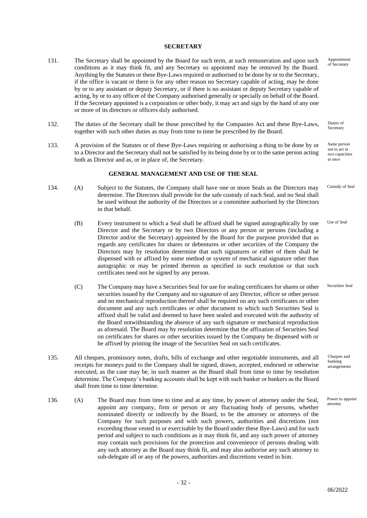#### **SECRETARY**

- 131. The Secretary shall be appointed by the Board for such term, at such remuneration and upon such conditions as it may think fit, and any Secretary so appointed may be removed by the Board. Anything by the Statutes or these Bye-Laws required or authorised to be done by or to the Secretary, if the office is vacant or there is for any other reason no Secretary capable of acting, may be done by or to any assistant or deputy Secretary, or if there is no assistant or deputy Secretary capable of acting, by or to any officer of the Company authorised generally or specially on behalf of the Board. If the Secretary appointed is a corporation or other body, it may act and sign by the hand of any one or more of its directors or officers duly authorised.
- 132. The duties of the Secretary shall be those prescribed by the Companies Act and these Bye-Laws, together with such other duties as may from time to time be prescribed by the Board.
- 133. A provision of the Statutes or of these Bye-Laws requiring or authorising a thing to be done by or to a Director and the Secretary shall not be satisfied by its being done by or to the same person acting both as Director and as, or in place of, the Secretary.

#### **GENERAL MANAGEMENT AND USE OF THE SEAL**

- 134. (A) Subject to the Statutes, the Company shall have one or more Seals as the Directors may determine. The Directors shall provide for the safe custody of each Seal, and no Seal shall be used without the authority of the Directors or a committee authorised by the Directors in that behalf.
	- (B) Every instrument to which a Seal shall be affixed shall be signed autographically by one Director and the Secretary or by two Directors or any person or persons (including a Director and/or the Secretary) appointed by the Board for the purpose provided that as regards any certificates for shares or debentures or other securities of the Company the Directors may by resolution determine that such signatures or either of them shall be dispensed with or affixed by some method or system of mechanical signature other than autographic or may be printed thereon as specified in such resolution or that such certificates need not be signed by any person.
	- (C) The Company may have a Securities Seal for use for sealing certificates for shares or other securities issued by the Company and no signature of any Director, officer or other person and no mechanical reproduction thereof shall be required on any such certificates or other document and any such certificates or other document to which such Securities Seal is affixed shall be valid and deemed to have been sealed and executed with the authority of the Board notwithstanding the absence of any such signature or mechanical reproduction as aforesaid. The Board may by resolution determine that the affixation of Securities Seal on certificates for shares or other securities issued by the Company be dispensed with or be affixed by printing the image of the Securities Seal on such certificates. Securities Seal
- 135. All cheques, promissory notes, drafts, bills of exchange and other negotiable instruments, and all receipts for moneys paid to the Company shall be signed, drawn, accepted, endorsed or otherwise executed, as the case may be, in such manner as the Board shall from time to time by resolution determine. The Company's banking accounts shall be kept with such banker or bankers as the Board shall from time to time determine.
- 136. (A) The Board may from time to time and at any time, by power of attorney under the Seal, appoint any company, firm or person or any fluctuating body of persons, whether nominated directly or indirectly by the Board, to be the attorney or attorneys of the Company for such purposes and with such powers, authorities and discretions (not exceeding those vested in or exercisable by the Board under these Bye-Laws) and for such period and subject to such conditions as it may think fit, and any such power of attorney may contain such provisions for the protection and convenience of persons dealing with any such attorney as the Board may think fit, and may also authorise any such attorney to sub-delegate all or any of the powers, authorities and discretions vested in him.

Appointment of Secretary

Duties of Secretary

Same person not to act in two capacities at once

Custody of Seal

Use of Seal

Cheques and banking arrangements

Power to appoint attorney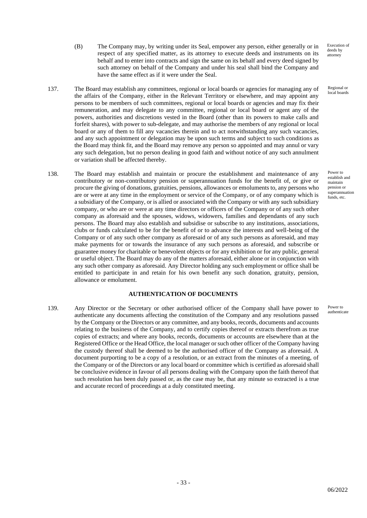Execution of deeds by attorney

Regional or local boards

Power to establish and maintain pension or superannuation funds, etc.

- (B) The Company may, by writing under its Seal, empower any person, either generally or in respect of any specified matter, as its attorney to execute deeds and instruments on its behalf and to enter into contracts and sign the same on its behalf and every deed signed by such attorney on behalf of the Company and under his seal shall bind the Company and have the same effect as if it were under the Seal.
- 137. The Board may establish any committees, regional or local boards or agencies for managing any of the affairs of the Company, either in the Relevant Territory or elsewhere, and may appoint any persons to be members of such committees, regional or local boards or agencies and may fix their remuneration, and may delegate to any committee, regional or local board or agent any of the powers, authorities and discretions vested in the Board (other than its powers to make calls and forfeit shares), with power to sub-delegate, and may authorise the members of any regional or local board or any of them to fill any vacancies therein and to act notwithstanding any such vacancies, and any such appointment or delegation may be upon such terms and subject to such conditions as the Board may think fit, and the Board may remove any person so appointed and may annul or vary any such delegation, but no person dealing in good faith and without notice of any such annulment or variation shall be affected thereby.
- 138. The Board may establish and maintain or procure the establishment and maintenance of any contributory or non-contributory pension or superannuation funds for the benefit of, or give or procure the giving of donations, gratuities, pensions, allowances or emoluments to, any persons who are or were at any time in the employment or service of the Company, or of any company which is a subsidiary of the Company, or is allied or associated with the Company or with any such subsidiary company, or who are or were at any time directors or officers of the Company or of any such other company as aforesaid and the spouses, widows, widowers, families and dependants of any such persons. The Board may also establish and subsidise or subscribe to any institutions, associations, clubs or funds calculated to be for the benefit of or to advance the interests and well-being of the Company or of any such other company as aforesaid or of any such persons as aforesaid, and may make payments for or towards the insurance of any such persons as aforesaid, and subscribe or guarantee money for charitable or benevolent objects or for any exhibition or for any public, general or useful object. The Board may do any of the matters aforesaid, either alone or in conjunction with any such other company as aforesaid. Any Director holding any such employment or office shall be entitled to participate in and retain for his own benefit any such donation, gratuity, pension, allowance or emolument.

## **AUTHENTICATION OF DOCUMENTS**

139. Any Director or the Secretary or other authorised officer of the Company shall have power to authenticate any documents affecting the constitution of the Company and any resolutions passed by the Company or the Directors or any committee, and any books, records, documents and accounts relating to the business of the Company, and to certify copies thereof or extracts therefrom as true copies of extracts; and where any books, records, documents or accounts are elsewhere than at the Registered Office or the Head Office, the local manager or such other officer of the Company having the custody thereof shall be deemed to be the authorised officer of the Company as aforesaid. A document purporting to be a copy of a resolution, or an extract from the minutes of a meeting, of the Company or of the Directors or any local board or committee which is certified as aforesaid shall be conclusive evidence in favour of all persons dealing with the Company upon the faith thereof that such resolution has been duly passed or, as the case may be, that any minute so extracted is a true and accurate record of proceedings at a duly constituted meeting.

Power to authenticate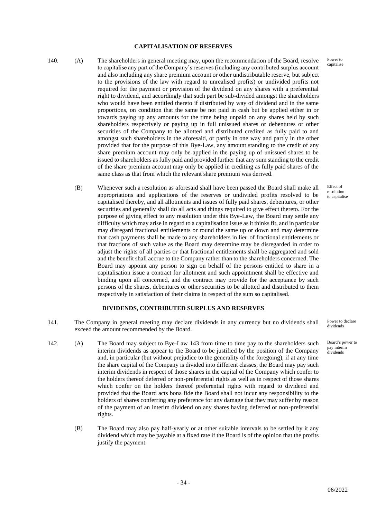### **CAPITALISATION OF RESERVES**

140. (A) The shareholders in general meeting may, upon the recommendation of the Board, resolve to capitalise any part of the Company's reserves (including any contributed surplus account and also including any share premium account or other undistributable reserve, but subject to the provisions of the law with regard to unrealised profits) or undivided profits not required for the payment or provision of the dividend on any shares with a preferential right to dividend, and accordingly that such part be sub-divided amongst the shareholders who would have been entitled thereto if distributed by way of dividend and in the same proportions, on condition that the same be not paid in cash but be applied either in or towards paying up any amounts for the time being unpaid on any shares held by such shareholders respectively or paying up in full unissued shares or debentures or other securities of the Company to be allotted and distributed credited as fully paid to and amongst such shareholders in the aforesaid, or partly in one way and partly in the other provided that for the purpose of this Bye-Law, any amount standing to the credit of any share premium account may only be applied in the paying up of unissued shares to be issued to shareholders as fully paid and provided further that any sum standing to the credit of the share premium account may only be applied in crediting as fully paid shares of the same class as that from which the relevant share premium was derived.

(B) Whenever such a resolution as aforesaid shall have been passed the Board shall make all appropriations and applications of the reserves or undivided profits resolved to be capitalised thereby, and all allotments and issues of fully paid shares, debentures, or other securities and generally shall do all acts and things required to give effect thereto. For the purpose of giving effect to any resolution under this Bye-Law, the Board may settle any difficulty which may arise in regard to a capitalisation issue as it thinks fit, and in particular may disregard fractional entitlements or round the same up or down and may determine that cash payments shall be made to any shareholders in lieu of fractional entitlements or that fractions of such value as the Board may determine may be disregarded in order to adjust the rights of all parties or that fractional entitlements shall be aggregated and sold and the benefit shall accrue to the Company rather than to the shareholders concerned. The Board may appoint any person to sign on behalf of the persons entitled to share in a capitalisation issue a contract for allotment and such appointment shall be effective and binding upon all concerned, and the contract may provide for the acceptance by such persons of the shares, debentures or other securities to be allotted and distributed to them respectively in satisfaction of their claims in respect of the sum so capitalised.

### **DIVIDENDS, CONTRIBUTED SURPLUS AND RESERVES**

- 141. The Company in general meeting may declare dividends in any currency but no dividends shall exceed the amount recommended by the Board.
- 142. (A) The Board may subject to Bye-Law 143 from time to time pay to the shareholders such interim dividends as appear to the Board to be justified by the position of the Company and, in particular (but without prejudice to the generality of the foregoing), if at any time the share capital of the Company is divided into different classes, the Board may pay such interim dividends in respect of those shares in the capital of the Company which confer to the holders thereof deferred or non-preferential rights as well as in respect of those shares which confer on the holders thereof preferential rights with regard to dividend and provided that the Board acts bona fide the Board shall not incur any responsibility to the holders of shares conferring any preference for any damage that they may suffer by reason of the payment of an interim dividend on any shares having deferred or non-preferential rights.
	- (B) The Board may also pay half-yearly or at other suitable intervals to be settled by it any dividend which may be payable at a fixed rate if the Board is of the opinion that the profits justify the payment.

Power to capitalise

Effect of resolution to capitalise

Power to declare dividends

Board's power to pay interim dividends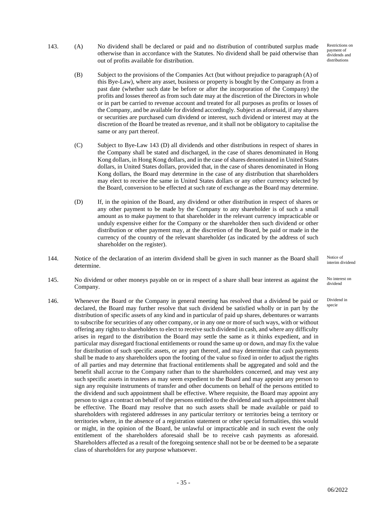- Restrictions on payment of dividends and distributions
- 143. (A) No dividend shall be declared or paid and no distribution of contributed surplus made otherwise than in accordance with the Statutes. No dividend shall be paid otherwise than out of profits available for distribution.
	- (B) Subject to the provisions of the Companies Act (but without prejudice to paragraph (A) of this Bye-Law), where any asset, business or property is bought by the Company as from a past date (whether such date be before or after the incorporation of the Company) the profits and losses thereof as from such date may at the discretion of the Directors in whole or in part be carried to revenue account and treated for all purposes as profits or losses of the Company, and be available for dividend accordingly. Subject as aforesaid, if any shares or securities are purchased cum dividend or interest, such dividend or interest may at the discretion of the Board be treated as revenue, and it shall not be obligatory to capitalise the same or any part thereof.
	- (C) Subject to Bye-Law 143 (D) all dividends and other distributions in respect of shares in the Company shall be stated and discharged, in the case of shares denominated in Hong Kong dollars, in Hong Kong dollars, and in the case of shares denominated in United States dollars, in United States dollars, provided that, in the case of shares denominated in Hong Kong dollars, the Board may determine in the case of any distribution that shareholders may elect to receive the same in United States dollars or any other currency selected by the Board, conversion to be effected at such rate of exchange as the Board may determine.
	- (D) If, in the opinion of the Board, any dividend or other distribution in respect of shares or any other payment to be made by the Company to any shareholder is of such a small amount as to make payment to that shareholder in the relevant currency impracticable or unduly expensive either for the Company or the shareholder then such dividend or other distribution or other payment may, at the discretion of the Board, be paid or made in the currency of the country of the relevant shareholder (as indicated by the address of such shareholder on the register).
- 144. Notice of the declaration of an interim dividend shall be given in such manner as the Board shall determine.
- 145. No dividend or other moneys payable on or in respect of a share shall bear interest as against the Company.
- 146. Whenever the Board or the Company in general meeting has resolved that a dividend be paid or declared, the Board may further resolve that such dividend be satisfied wholly or in part by the distribution of specific assets of any kind and in particular of paid up shares, debentures or warrants to subscribe for securities of any other company, or in any one or more of such ways, with or without offering any rights to shareholders to elect to receive such dividend in cash, and where any difficulty arises in regard to the distribution the Board may settle the same as it thinks expedient, and in particular may disregard fractional entitlements or round the same up or down, and may fix the value for distribution of such specific assets, or any part thereof, and may determine that cash payments shall be made to any shareholders upon the footing of the value so fixed in order to adjust the rights of all parties and may determine that fractional entitlements shall be aggregated and sold and the benefit shall accrue to the Company rather than to the shareholders concerned, and may vest any such specific assets in trustees as may seem expedient to the Board and may appoint any person to sign any requisite instruments of transfer and other documents on behalf of the persons entitled to the dividend and such appointment shall be effective. Where requisite, the Board may appoint any person to sign a contract on behalf of the persons entitled to the dividend and such appointment shall be effective. The Board may resolve that no such assets shall be made available or paid to shareholders with registered addresses in any particular territory or territories being a territory or territories where, in the absence of a registration statement or other special formalities, this would or might, in the opinion of the Board, be unlawful or impracticable and in such event the only entitlement of the shareholders aforesaid shall be to receive cash payments as aforesaid. Shareholders affected as a result of the foregoing sentence shall not be or be deemed to be a separate class of shareholders for any purpose whatsoever.

Notice of interim dividend

No interest on dividend

Dividend in specie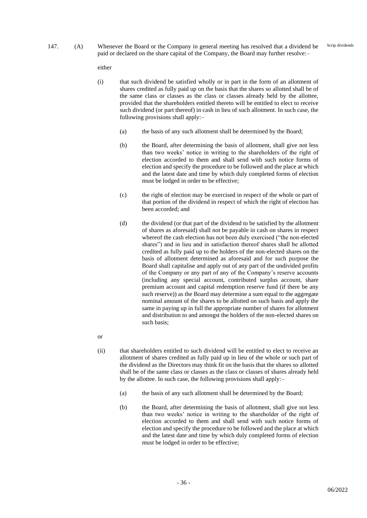147. (A) Whenever the Board or the Company in general meeting has resolved that a dividend be paid or declared on the share capital of the Company, the Board may further resolve:–

either

- (i) that such dividend be satisfied wholly or in part in the form of an allotment of shares credited as fully paid up on the basis that the shares so allotted shall be of the same class or classes as the class or classes already held by the allottee, provided that the shareholders entitled thereto will be entitled to elect to receive such dividend (or part thereof) in cash in lieu of such allotment. In such case, the following provisions shall apply:–
	- (a) the basis of any such allotment shall be determined by the Board;
	- (b) the Board, after determining the basis of allotment, shall give not less than two weeks' notice in writing to the shareholders of the right of election accorded to them and shall send with such notice forms of election and specify the procedure to be followed and the place at which and the latest date and time by which duly completed forms of election must be lodged in order to be effective;
	- (c) the right of election may be exercised in respect of the whole or part of that portion of the dividend in respect of which the right of election has been accorded; and
	- (d) the dividend (or that part of the dividend to be satisfied by the allotment of shares as aforesaid) shall not be payable in cash on shares in respect whereof the cash election has not been duly exercised ("the non-elected shares") and in lieu and in satisfaction thereof shares shall be allotted credited as fully paid up to the holders of the non-elected shares on the basis of allotment determined as aforesaid and for such purpose the Board shall capitalise and apply out of any part of the undivided profits of the Company or any part of any of the Company's reserve accounts (including any special account, contributed surplus account, share premium account and capital redemption reserve fund (if there be any such reserve)) as the Board may determine a sum equal to the aggregate nominal amount of the shares to be allotted on such basis and apply the same in paying up in full the appropriate number of shares for allotment and distribution to and amongst the holders of the non-elected shares on such basis;
- or
- (ii) that shareholders entitled to such dividend will be entitled to elect to receive an allotment of shares credited as fully paid up in lieu of the whole or such part of the dividend as the Directors may think fit on the basis that the shares so allotted shall be of the same class or classes as the class or classes of shares already held by the allottee. In such case, the following provisions shall apply:–
	- (a) the basis of any such allotment shall be determined by the Board;
	- (b) the Board, after determining the basis of allotment, shall give not less than two weeks' notice in writing to the shareholder of the right of election accorded to them and shall send with such notice forms of election and specify the procedure to be followed and the place at which and the latest date and time by which duly completed forms of election must be lodged in order to be effective;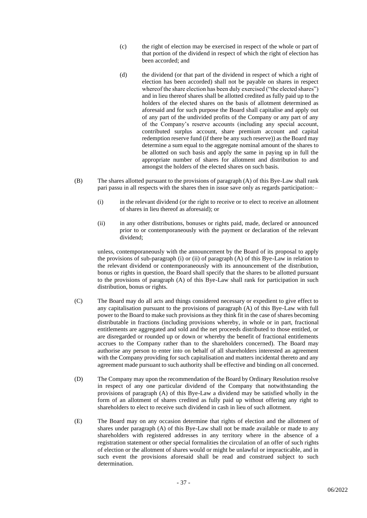- (c) the right of election may be exercised in respect of the whole or part of that portion of the dividend in respect of which the right of election has been accorded; and
- (d) the dividend (or that part of the dividend in respect of which a right of election has been accorded) shall not be payable on shares in respect whereof the share election has been duly exercised ("the elected shares") and in lieu thereof shares shall be allotted credited as fully paid up to the holders of the elected shares on the basis of allotment determined as aforesaid and for such purpose the Board shall capitalise and apply out of any part of the undivided profits of the Company or any part of any of the Company's reserve accounts (including any special account, contributed surplus account, share premium account and capital redemption reserve fund (if there be any such reserve)) as the Board may determine a sum equal to the aggregate nominal amount of the shares to be allotted on such basis and apply the same in paying up in full the appropriate number of shares for allotment and distribution to and amongst the holders of the elected shares on such basis.
- (B) The shares allotted pursuant to the provisions of paragraph (A) of this Bye-Law shall rank pari passu in all respects with the shares then in issue save only as regards participation:–
	- (i) in the relevant dividend (or the right to receive or to elect to receive an allotment of shares in lieu thereof as aforesaid); or
	- (ii) in any other distributions, bonuses or rights paid, made, declared or announced prior to or contemporaneously with the payment or declaration of the relevant dividend;

unless, contemporaneously with the announcement by the Board of its proposal to apply the provisions of sub-paragraph (i) or (ii) of paragraph (A) of this Bye-Law in relation to the relevant dividend or contemporaneously with its announcement of the distribution, bonus or rights in question, the Board shall specify that the shares to be allotted pursuant to the provisions of paragraph (A) of this Bye-Law shall rank for participation in such distribution, bonus or rights.

- (C) The Board may do all acts and things considered necessary or expedient to give effect to any capitalisation pursuant to the provisions of paragraph (A) of this Bye-Law with full power to the Board to make such provisions as they think fit in the case of shares becoming distributable in fractions (including provisions whereby, in whole or in part, fractional entitlements are aggregated and sold and the net proceeds distributed to those entitled, or are disregarded or rounded up or down or whereby the benefit of fractional entitlements accrues to the Company rather than to the shareholders concerned). The Board may authorise any person to enter into on behalf of all shareholders interested an agreement with the Company providing for such capitalisation and matters incidental thereto and any agreement made pursuant to such authority shall be effective and binding on all concerned.
- (D) The Company may upon the recommendation of the Board by Ordinary Resolution resolve in respect of any one particular dividend of the Company that notwithstanding the provisions of paragraph (A) of this Bye-Law a dividend may be satisfied wholly in the form of an allotment of shares credited as fully paid up without offering any right to shareholders to elect to receive such dividend in cash in lieu of such allotment.
- (E) The Board may on any occasion determine that rights of election and the allotment of shares under paragraph (A) of this Bye-Law shall not be made available or made to any shareholders with registered addresses in any territory where in the absence of a registration statement or other special formalities the circulation of an offer of such rights of election or the allotment of shares would or might be unlawful or impracticable, and in such event the provisions aforesaid shall be read and construed subject to such determination.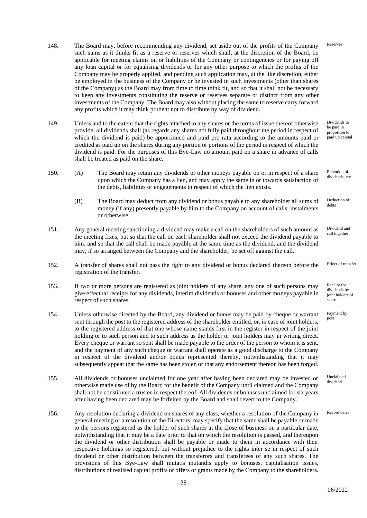- 148. The Board may, before recommending any dividend, set aside out of the profits of the Company such sums as it thinks fit as a reserve or reserves which shall, at the discretion of the Board, be applicable for meeting claims on or liabilities of the Company or contingencies or for paying off any loan capital or for equalising dividends or for any other purpose to which the profits of the Company may be properly applied, and pending such application may, at the like discretion, either be employed in the business of the Company or be invested in such investments (other than shares of the Company) as the Board may from time to time think fit, and so that it shall not be necessary to keep any investments constituting the reserve or reserves separate or distinct from any other investments of the Company. The Board may also without placing the same to reserve carry forward any profits which it may think prudent not to distribute by way of dividend. Reserves
- 149. Unless and to the extent that the rights attached to any shares or the terms of issue thereof otherwise provide, all dividends shall (as regards any shares not fully paid throughout the period in respect of which the dividend is paid) be apportioned and paid pro rata according to the amounts paid or credited as paid up on the shares during any portion or portions of the period in respect of which the dividend is paid. For the purposes of this Bye-Law no amount paid on a share in advance of calls shall be treated as paid on the share. Dividends to be paid in proportion to paid up capital
- 150. (A) The Board may retain any dividends or other moneys payable on or in respect of a share upon which the Company has a lien, and may apply the same in or towards satisfaction of the debts, liabilities or engagements in respect of which the lien exists. Retention of
	- (B) The Board may deduct from any dividend or bonus payable to any shareholder all sums of money (if any) presently payable by him to the Company on account of calls, instalments or otherwise. debts
- 151. Any general meeting sanctioning a dividend may make a call on the shareholders of such amount as the meeting fixes, but so that the call on each shareholder shall not exceed the dividend payable to him, and so that the call shall be made payable at the same time as the dividend, and the dividend may, if so arranged between the Company and the shareholder, be set off against the call.
- 152. A transfer of shares shall not pass the right to any dividend or bonus declared thereon before the registration of the transfer.
- 153. If two or more persons are registered as joint holders of any share, any one of such persons may give effectual receipts for any dividends, interim dividends or bonuses and other moneys payable in respect of such shares.
- 154. Unless otherwise directed by the Board, any dividend or bonus may be paid by cheque or warrant sent through the post to the registered address of the shareholder entitled, or, in case of joint holders, to the registered address of that one whose name stands first in the register in respect of the joint holding or to such person and to such address as the holder or joint holders may in writing direct. Every cheque or warrant so sent shall be made payable to the order of the person to whom it is sent, and the payment of any such cheque or warrant shall operate as a good discharge to the Company in respect of the dividend and/or bonus represented thereby, notwithstanding that it may subsequently appear that the same has been stolen or that any endorsement thereon has been forged.
- 155. All dividends or bonuses unclaimed for one year after having been declared may be invested or otherwise made use of by the Board for the benefit of the Company until claimed and the Company shall not be constituted a trustee in respect thereof. All dividends or bonuses unclaimed for six years after having been declared may be forfeited by the Board and shall revert to the Company.
- 156. Any resolution declaring a dividend on shares of any class, whether a resolution of the Company in general meeting or a resolution of the Directors, may specify that the same shall be payable or made to the persons registered as the holder of such shares at the close of business on a particular date, notwithstanding that it may be a date prior to that on which the resolution is passed, and thereupon the dividend or other distribution shall be payable or made to them in accordance with their respective holdings so registered, but without prejudice to the rights inter se in respect of such dividend or other distribution between the transferors and transferees of any such shares. The provisions of this Bye-Law shall mutatis mutandis apply to bonuses, capitalisation issues, distributions of realised capital profits or offers or grants made by the Company to the shareholders.

dividends, etc.

Deduction of

Dividend and call together

Effect of transfer

Receipt for dividends by joint holders of .<br>share

Payment by post

Unclaimed dividend

Record dates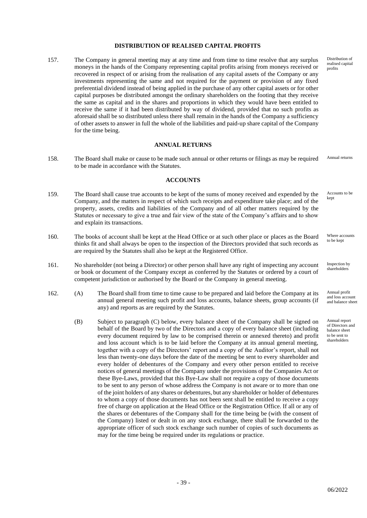## **DISTRIBUTION OF REALISED CAPITAL PROFITS**

157. The Company in general meeting may at any time and from time to time resolve that any surplus moneys in the hands of the Company representing capital profits arising from moneys received or recovered in respect of or arising from the realisation of any capital assets of the Company or any investments representing the same and not required for the payment or provision of any fixed preferential dividend instead of being applied in the purchase of any other capital assets or for other capital purposes be distributed amongst the ordinary shareholders on the footing that they receive the same as capital and in the shares and proportions in which they would have been entitled to receive the same if it had been distributed by way of dividend, provided that no such profits as aforesaid shall be so distributed unless there shall remain in the hands of the Company a sufficiency of other assets to answer in full the whole of the liabilities and paid-up share capital of the Company for the time being.

### **ANNUAL RETURNS**

158. The Board shall make or cause to be made such annual or other returns or filings as may be required to be made in accordance with the Statutes. Annual returns

#### **ACCOUNTS**

- 159. The Board shall cause true accounts to be kept of the sums of money received and expended by the Company, and the matters in respect of which such receipts and expenditure take place; and of the property, assets, credits and liabilities of the Company and of all other matters required by the Statutes or necessary to give a true and fair view of the state of the Company's affairs and to show and explain its transactions. Accounts to be kept
- 160. The books of account shall be kept at the Head Office or at such other place or places as the Board thinks fit and shall always be open to the inspection of the Directors provided that such records as are required by the Statutes shall also be kept at the Registered Office.
- 161. No shareholder (not being a Director) or other person shall have any right of inspecting any account or book or document of the Company except as conferred by the Statutes or ordered by a court of competent jurisdiction or authorised by the Board or the Company in general meeting.
- 162. (A) The Board shall from time to time cause to be prepared and laid before the Company at its annual general meeting such profit and loss accounts, balance sheets, group accounts (if any) and reports as are required by the Statutes.
	- (B) Subject to paragraph (C) below, every balance sheet of the Company shall be signed on behalf of the Board by two of the Directors and a copy of every balance sheet (including every document required by law to be comprised therein or annexed thereto) and profit and loss account which is to be laid before the Company at its annual general meeting, together with a copy of the Directors' report and a copy of the Auditor's report, shall not less than twenty-one days before the date of the meeting be sent to every shareholder and every holder of debentures of the Company and every other person entitled to receive notices of general meetings of the Company under the provisions of the Companies Act or these Bye-Laws, provided that this Bye-Law shall not require a copy of those documents to be sent to any person of whose address the Company is not aware or to more than one of the joint holders of any shares or debentures, but any shareholder or holder of debentures to whom a copy of those documents has not been sent shall be entitled to receive a copy free of charge on application at the Head Office or the Registration Office. If all or any of the shares or debentures of the Company shall for the time being be (with the consent of the Company) listed or dealt in on any stock exchange, there shall be forwarded to the appropriate officer of such stock exchange such number of copies of such documents as may for the time being be required under its regulations or practice.

Distribution of realised capital profits

Where accounts to be kept

Inspection by shareholders

Annual profit and loss account and balance sheet

Annual report of Directors and balance sheet to be sent to shareholders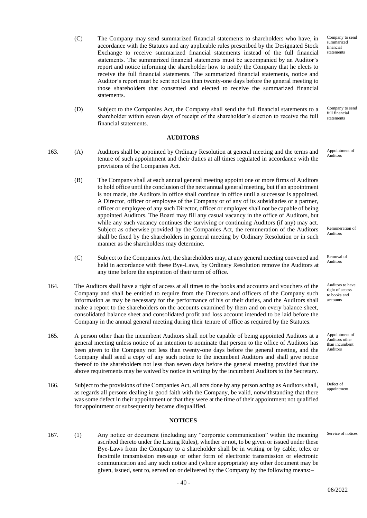- (C) The Company may send summarized financial statements to shareholders who have, in accordance with the Statutes and any applicable rules prescribed by the Designated Stock Exchange to receive summarized financial statements instead of the full financial statements. The summarized financial statements must be accompanied by an Auditor's report and notice informing the shareholder how to notify the Company that he elects to receive the full financial statements. The summarized financial statements, notice and Auditor's report must be sent not less than twenty-one days before the general meeting to those shareholders that consented and elected to receive the summarized financial statements.
- (D) Subject to the Companies Act, the Company shall send the full financial statements to a shareholder within seven days of receipt of the shareholder's election to receive the full financial statements.

#### **AUDITORS**

- 163. (A) Auditors shall be appointed by Ordinary Resolution at general meeting and the terms and tenure of such appointment and their duties at all times regulated in accordance with the provisions of the Companies Act.
	- (B) The Company shall at each annual general meeting appoint one or more firms of Auditors to hold office until the conclusion of the next annual general meeting, but if an appointment is not made, the Auditors in office shall continue in office until a successor is appointed. A Director, officer or employee of the Company or of any of its subsidiaries or a partner, officer or employee of any such Director, officer or employee shall not be capable of being appointed Auditors. The Board may fill any casual vacancy in the office of Auditors, but while any such vacancy continues the surviving or continuing Auditors (if any) may act. Subject as otherwise provided by the Companies Act, the remuneration of the Auditors shall be fixed by the shareholders in general meeting by Ordinary Resolution or in such manner as the shareholders may determine.
	- (C) Subject to the Companies Act, the shareholders may, at any general meeting convened and held in accordance with these Bye-Laws, by Ordinary Resolution remove the Auditors at any time before the expiration of their term of office.
- 164. The Auditors shall have a right of access at all times to the books and accounts and vouchers of the Company and shall be entitled to require from the Directors and officers of the Company such information as may be necessary for the performance of his or their duties, and the Auditors shall make a report to the shareholders on the accounts examined by them and on every balance sheet, consolidated balance sheet and consolidated profit and loss account intended to be laid before the Company in the annual general meeting during their tenure of office as required by the Statutes.
- 165. A person other than the incumbent Auditors shall not be capable of being appointed Auditors at a general meeting unless notice of an intention to nominate that person to the office of Auditors has been given to the Company not less than twenty-one days before the general meeting, and the Company shall send a copy of any such notice to the incumbent Auditors and shall give notice thereof to the shareholders not less than seven days before the general meeting provided that the above requirements may be waived by notice in writing by the incumbent Auditors to the Secretary.
- 166. Subject to the provisions of the Companies Act, all acts done by any person acting as Auditors shall, as regards all persons dealing in good faith with the Company, be valid, notwithstanding that there was some defect in their appointment or that they were at the time of their appointment not qualified for appointment or subsequently became disqualified.

### **NOTICES**

167. (1) Any notice or document (including any "corporate communication" within the meaning ascribed thereto under the Listing Rules), whether or not, to be given or issued under these Bye-Laws from the Company to a shareholder shall be in writing or by cable, telex or facsimile transmission message or other form of electronic transmission or electronic communication and any such notice and (where appropriate) any other document may be given, issued, sent to, served on or delivered by the Company by the following means:–

Company to send full financial statements

Appointment of Auditors

Remuneration of Auditors

Removal of Auditors

Auditors to have right of access to books and accounts

Appointment of Auditors other than incumbent Auditors

Defect of appointment

Service of notices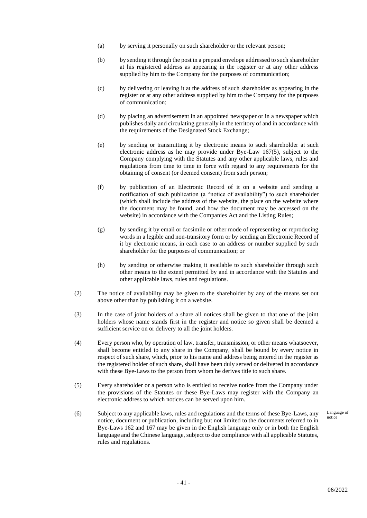- (a) by serving it personally on such shareholder or the relevant person;
- (b) by sending it through the post in a prepaid envelope addressed to such shareholder at his registered address as appearing in the register or at any other address supplied by him to the Company for the purposes of communication;
- (c) by delivering or leaving it at the address of such shareholder as appearing in the register or at any other address supplied by him to the Company for the purposes of communication;
- (d) by placing an advertisement in an appointed newspaper or in a newspaper which publishes daily and circulating generally in the territory of and in accordance with the requirements of the Designated Stock Exchange;
- (e) by sending or transmitting it by electronic means to such shareholder at such electronic address as he may provide under Bye-Law 167(5), subject to the Company complying with the Statutes and any other applicable laws, rules and regulations from time to time in force with regard to any requirements for the obtaining of consent (or deemed consent) from such person;
- (f) by publication of an Electronic Record of it on a website and sending a notification of such publication (a "notice of availability") to such shareholder (which shall include the address of the website, the place on the website where the document may be found, and how the document may be accessed on the website) in accordance with the Companies Act and the Listing Rules;
- (g) by sending it by email or facsimile or other mode of representing or reproducing words in a legible and non-transitory form or by sending an Electronic Record of it by electronic means, in each case to an address or number supplied by such shareholder for the purposes of communication; or
- (h) by sending or otherwise making it available to such shareholder through such other means to the extent permitted by and in accordance with the Statutes and other applicable laws, rules and regulations.
- (2) The notice of availability may be given to the shareholder by any of the means set out above other than by publishing it on a website.
- (3) In the case of joint holders of a share all notices shall be given to that one of the joint holders whose name stands first in the register and notice so given shall be deemed a sufficient service on or delivery to all the joint holders.
- (4) Every person who, by operation of law, transfer, transmission, or other means whatsoever, shall become entitled to any share in the Company, shall be bound by every notice in respect of such share, which, prior to his name and address being entered in the register as the registered holder of such share, shall have been duly served or delivered in accordance with these Bye-Laws to the person from whom he derives title to such share.
- (5) Every shareholder or a person who is entitled to receive notice from the Company under the provisions of the Statutes or these Bye-Laws may register with the Company an electronic address to which notices can be served upon him.
- (6) Subject to any applicable laws, rules and regulations and the terms of these Bye-Laws, any notice, document or publication, including but not limited to the documents referred to in Bye-Laws 162 and 167 may be given in the English language only or in both the English language and the Chinese language, subject to due compliance with all applicable Statutes, rules and regulations.

Language of notice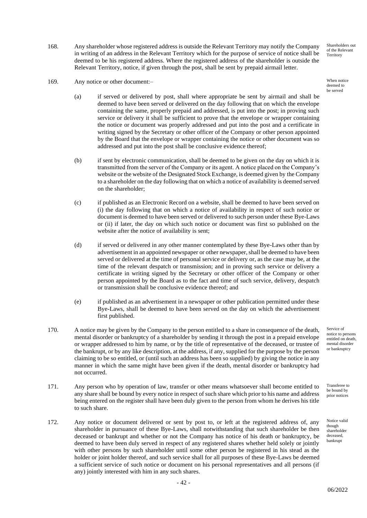168. Any shareholder whose registered address is outside the Relevant Territory may notify the Company in writing of an address in the Relevant Territory which for the purpose of service of notice shall be deemed to be his registered address. Where the registered address of the shareholder is outside the Relevant Territory, notice, if given through the post, shall be sent by prepaid airmail letter.

169. Any notice or other document:-

- (a) if served or delivered by post, shall where appropriate be sent by airmail and shall be deemed to have been served or delivered on the day following that on which the envelope containing the same, properly prepaid and addressed, is put into the post; in proving such service or delivery it shall be sufficient to prove that the envelope or wrapper containing the notice or document was properly addressed and put into the post and a certificate in writing signed by the Secretary or other officer of the Company or other person appointed by the Board that the envelope or wrapper containing the notice or other document was so addressed and put into the post shall be conclusive evidence thereof;
- (b) if sent by electronic communication, shall be deemed to be given on the day on which it is transmitted from the server of the Company or its agent. A notice placed on the Company's website or the website of the Designated Stock Exchange, is deemed given by the Company to a shareholder on the day following that on which a notice of availability is deemed served on the shareholder;
- (c) if published as an Electronic Record on a website, shall be deemed to have been served on (i) the day following that on which a notice of availability in respect of such notice or document is deemed to have been served or delivered to such person under these Bye-Laws or (ii) if later, the day on which such notice or document was first so published on the website after the notice of availability is sent;
- (d) if served or delivered in any other manner contemplated by these Bye-Laws other than by advertisement in an appointed newspaper or other newspaper, shall be deemed to have been served or delivered at the time of personal service or delivery or, as the case may be, at the time of the relevant despatch or transmission; and in proving such service or delivery a certificate in writing signed by the Secretary or other officer of the Company or other person appointed by the Board as to the fact and time of such service, delivery, despatch or transmission shall be conclusive evidence thereof; and
- (e) if published as an advertisement in a newspaper or other publication permitted under these Bye-Laws, shall be deemed to have been served on the day on which the advertisement first published.
- 170. A notice may be given by the Company to the person entitled to a share in consequence of the death, mental disorder or bankruptcy of a shareholder by sending it through the post in a prepaid envelope or wrapper addressed to him by name, or by the title of representative of the deceased, or trustee of the bankrupt, or by any like description, at the address, if any, supplied for the purpose by the person claiming to be so entitled, or (until such an address has been so supplied) by giving the notice in any manner in which the same might have been given if the death, mental disorder or bankruptcy had not occurred.
- 171. Any person who by operation of law, transfer or other means whatsoever shall become entitled to any share shall be bound by every notice in respect of such share which prior to his name and address being entered on the register shall have been duly given to the person from whom he derives his title to such share.
- 172. Any notice or document delivered or sent by post to, or left at the registered address of, any shareholder in pursuance of these Bye-Laws, shall notwithstanding that such shareholder be then deceased or bankrupt and whether or not the Company has notice of his death or bankruptcy, be deemed to have been duly served in respect of any registered shares whether held solely or jointly with other persons by such shareholder until some other person be registered in his stead as the holder or joint holder thereof, and such service shall for all purposes of these Bye-Laws be deemed a sufficient service of such notice or document on his personal representatives and all persons (if any) jointly interested with him in any such shares.

Shareholders out of the Relevant Territory

deemed to be served

Service of notice to persons entitled on death, mental disorder or bankruptcy

Transferee to be bound by prior notices

Notice valid though shareholder deceased, bankrupt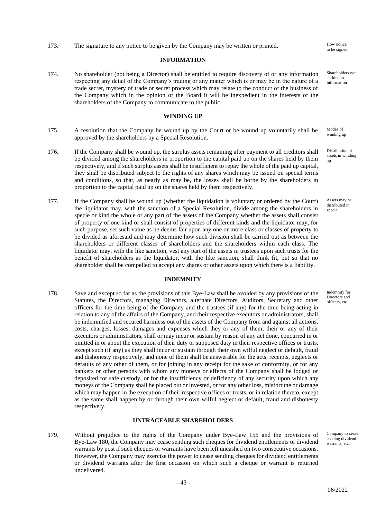173. The signature to any notice to be given by the Company may be written or printed. How notice

### **INFORMATION**

174. No shareholder (not being a Director) shall be entitled to require discovery of or any information respecting any detail of the Company's trading or any matter which is or may be in the nature of a trade secret, mystery of trade or secret process which may relate to the conduct of the business of the Company which in the opinion of the Board it will be inexpedient in the interests of the shareholders of the Company to communicate to the public.

#### **WINDING UP**

- 175. A resolution that the Company be wound up by the Court or be wound up voluntarily shall be approved by the shareholders by a Special Resolution.
- 176. If the Company shall be wound up, the surplus assets remaining after payment to all creditors shall be divided among the shareholders in proportion to the capital paid up on the shares held by them respectively, and if such surplus assets shall be insufficient to repay the whole of the paid up capital, they shall be distributed subject to the rights of any shares which may be issued on special terms and conditions, so that, as nearly as may be, the losses shall be borne by the shareholders in proportion to the capital paid up on the shares held by them respectively.
- 177. If the Company shall be wound up (whether the liquidation is voluntary or ordered by the Court) the liquidator may, with the sanction of a Special Resolution, divide among the shareholders in specie or kind the whole or any part of the assets of the Company whether the assets shall consist of property of one kind or shall consist of properties of different kinds and the liquidator may, for such purpose, set such value as he deems fair upon any one or more class or classes of property to be divided as aforesaid and may determine how such division shall be carried out as between the shareholders or different classes of shareholders and the shareholders within each class. The liquidator may, with the like sanction, vest any part of the assets in trustees upon such trusts for the benefit of shareholders as the liquidator, with the like sanction, shall think fit, but so that no shareholder shall be compelled to accept any shares or other assets upon which there is a liability.

#### **INDEMNITY**

178. Save and except so far as the provisions of this Bye-Law shall be avoided by any provisions of the Statutes, the Directors, managing Directors, alternate Directors, Auditors, Secretary and other officers for the time being of the Company and the trustees (if any) for the time being acting in relation to any of the affairs of the Company, and their respective executors or administrators, shall be indemnified and secured harmless out of the assets of the Company from and against all actions, costs, charges, losses, damages and expenses which they or any of them, their or any of their executors or administrators, shall or may incur or sustain by reason of any act done, concurred in or omitted in or about the execution of their duty or supposed duty in their respective offices or trusts, except such (if any) as they shall incur or sustain through their own wilful neglect or default, fraud and dishonesty respectively, and none of them shall be answerable for the acts, receipts, neglects or defaults of any other of them, or for joining in any receipt for the sake of conformity, or for any bankers or other persons with whom any moneys or effects of the Company shall be lodged or deposited for safe custody, or for the insufficiency or deficiency of any security upon which any moneys of the Company shall be placed out or invested, or for any other loss, misfortune or damage which may happen in the execution of their respective offices or trusts, or in relation thereto, except as the same shall happen by or through their own wilful neglect or default, fraud and dishonesty respectively.

# **UNTRACEABLE SHAREHOLDERS**

179. Without prejudice to the rights of the Company under Bye-Law 155 and the provisions of Bye-Law 180, the Company may cease sending such cheques for dividend entitlements or dividend warrants by post if such cheques or warrants have been left uncashed on two consecutive occasions. However, the Company may exercise the power to cease sending cheques for dividend entitlements or dividend warrants after the first occasion on which such a cheque or warrant is returned undelivered.

to be signed

Shareholders not entitled to information

Modes of winding up

Distribution of assets in winding up

Assets may be distributed in specie

Indemnity for Directors and officers, etc.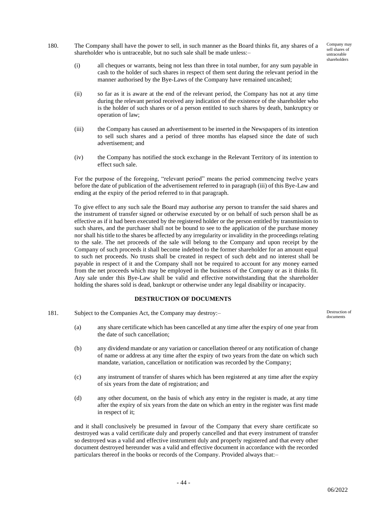- 180. The Company shall have the power to sell, in such manner as the Board thinks fit, any shares of a shareholder who is untraceable, but no such sale shall be made unless:–
	- (i) all cheques or warrants, being not less than three in total number, for any sum payable in cash to the holder of such shares in respect of them sent during the relevant period in the manner authorised by the Bye-Laws of the Company have remained uncashed;
	- (ii) so far as it is aware at the end of the relevant period, the Company has not at any time during the relevant period received any indication of the existence of the shareholder who is the holder of such shares or of a person entitled to such shares by death, bankruptcy or operation of law;
	- (iii) the Company has caused an advertisement to be inserted in the Newspapers of its intention to sell such shares and a period of three months has elapsed since the date of such advertisement; and
	- (iv) the Company has notified the stock exchange in the Relevant Territory of its intention to effect such sale.

For the purpose of the foregoing, "relevant period" means the period commencing twelve years before the date of publication of the advertisement referred to in paragraph (iii) of this Bye-Law and ending at the expiry of the period referred to in that paragraph.

To give effect to any such sale the Board may authorise any person to transfer the said shares and the instrument of transfer signed or otherwise executed by or on behalf of such person shall be as effective as if it had been executed by the registered holder or the person entitled by transmission to such shares, and the purchaser shall not be bound to see to the application of the purchase money nor shall his title to the shares be affected by any irregularity or invalidity in the proceedings relating to the sale. The net proceeds of the sale will belong to the Company and upon receipt by the Company of such proceeds it shall become indebted to the former shareholder for an amount equal to such net proceeds. No trusts shall be created in respect of such debt and no interest shall be payable in respect of it and the Company shall not be required to account for any money earned from the net proceeds which may be employed in the business of the Company or as it thinks fit. Any sale under this Bye-Law shall be valid and effective notwithstanding that the shareholder holding the shares sold is dead, bankrupt or otherwise under any legal disability or incapacity.

# **DESTRUCTION OF DOCUMENTS**

- 181. Subject to the Companies Act, the Company may destroy:–
	- (a) any share certificate which has been cancelled at any time after the expiry of one year from the date of such cancellation;
	- (b) any dividend mandate or any variation or cancellation thereof or any notification of change of name or address at any time after the expiry of two years from the date on which such mandate, variation, cancellation or notification was recorded by the Company;
	- (c) any instrument of transfer of shares which has been registered at any time after the expiry of six years from the date of registration; and
	- (d) any other document, on the basis of which any entry in the register is made, at any time after the expiry of six years from the date on which an entry in the register was first made in respect of it;

and it shall conclusively be presumed in favour of the Company that every share certificate so destroyed was a valid certificate duly and properly cancelled and that every instrument of transfer so destroyed was a valid and effective instrument duly and properly registered and that every other document destroyed hereunder was a valid and effective document in accordance with the recorded particulars thereof in the books or records of the Company. Provided always that:–

Destruction of documents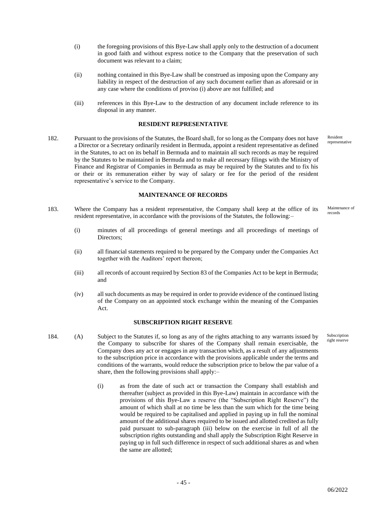- (i) the foregoing provisions of this Bye-Law shall apply only to the destruction of a document in good faith and without express notice to the Company that the preservation of such document was relevant to a claim;
- (ii) nothing contained in this Bye-Law shall be construed as imposing upon the Company any liability in respect of the destruction of any such document earlier than as aforesaid or in any case where the conditions of proviso (i) above are not fulfilled; and
- (iii) references in this Bye-Law to the destruction of any document include reference to its disposal in any manner.

#### **RESIDENT REPRESENTATIVE**

182. Pursuant to the provisions of the Statutes, the Board shall, for so long as the Company does not have a Director or a Secretary ordinarily resident in Bermuda, appoint a resident representative as defined in the Statutes, to act on its behalf in Bermuda and to maintain all such records as may be required by the Statutes to be maintained in Bermuda and to make all necessary filings with the Ministry of Finance and Registrar of Companies in Bermuda as may be required by the Statutes and to fix his or their or its remuneration either by way of salary or fee for the period of the resident representative's service to the Company.

#### **MAINTENANCE OF RECORDS**

- 183. Where the Company has a resident representative, the Company shall keep at the office of its resident representative, in accordance with the provisions of the Statutes, the following:–
	- (i) minutes of all proceedings of general meetings and all proceedings of meetings of Directors;
	- (ii) all financial statements required to be prepared by the Company under the Companies Act together with the Auditors' report thereon;
	- (iii) all records of account required by Section 83 of the Companies Act to be kept in Bermuda; and
	- (iv) all such documents as may be required in order to provide evidence of the continued listing of the Company on an appointed stock exchange within the meaning of the Companies Act.

#### **SUBSCRIPTION RIGHT RESERVE**

184. (A) Subject to the Statutes if, so long as any of the rights attaching to any warrants issued by the Company to subscribe for shares of the Company shall remain exercisable, the Company does any act or engages in any transaction which, as a result of any adjustments to the subscription price in accordance with the provisions applicable under the terms and conditions of the warrants, would reduce the subscription price to below the par value of a share, then the following provisions shall apply:–

- 45 -

(i) as from the date of such act or transaction the Company shall establish and thereafter (subject as provided in this Bye-Law) maintain in accordance with the provisions of this Bye-Law a reserve (the "Subscription Right Reserve") the amount of which shall at no time be less than the sum which for the time being would be required to be capitalised and applied in paying up in full the nominal amount of the additional shares required to be issued and allotted credited as fully paid pursuant to sub-paragraph (iii) below on the exercise in full of all the subscription rights outstanding and shall apply the Subscription Right Reserve in paying up in full such difference in respect of such additional shares as and when the same are allotted;

Resident representative

Maintenance of records

Subscription right reserve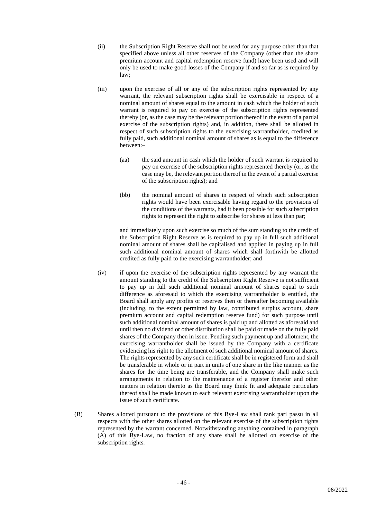- (ii) the Subscription Right Reserve shall not be used for any purpose other than that specified above unless all other reserves of the Company (other than the share premium account and capital redemption reserve fund) have been used and will only be used to make good losses of the Company if and so far as is required by law;
- (iii) upon the exercise of all or any of the subscription rights represented by any warrant, the relevant subscription rights shall be exercisable in respect of a nominal amount of shares equal to the amount in cash which the holder of such warrant is required to pay on exercise of the subscription rights represented thereby (or, as the case may be the relevant portion thereof in the event of a partial exercise of the subscription rights) and, in addition, there shall be allotted in respect of such subscription rights to the exercising warrantholder, credited as fully paid, such additional nominal amount of shares as is equal to the difference between:–
	- (aa) the said amount in cash which the holder of such warrant is required to pay on exercise of the subscription rights represented thereby (or, as the case may be, the relevant portion thereof in the event of a partial exercise of the subscription rights); and
	- (bb) the nominal amount of shares in respect of which such subscription rights would have been exercisable having regard to the provisions of the conditions of the warrants, had it been possible for such subscription rights to represent the right to subscribe for shares at less than par;

and immediately upon such exercise so much of the sum standing to the credit of the Subscription Right Reserve as is required to pay up in full such additional nominal amount of shares shall be capitalised and applied in paying up in full such additional nominal amount of shares which shall forthwith be allotted credited as fully paid to the exercising warrantholder; and

- (iv) if upon the exercise of the subscription rights represented by any warrant the amount standing to the credit of the Subscription Right Reserve is not sufficient to pay up in full such additional nominal amount of shares equal to such difference as aforesaid to which the exercising warrantholder is entitled, the Board shall apply any profits or reserves then or thereafter becoming available (including, to the extent permitted by law, contributed surplus account, share premium account and capital redemption reserve fund) for such purpose until such additional nominal amount of shares is paid up and allotted as aforesaid and until then no dividend or other distribution shall be paid or made on the fully paid shares of the Company then in issue. Pending such payment up and allotment, the exercising warrantholder shall be issued by the Company with a certificate evidencing his right to the allotment of such additional nominal amount of shares. The rights represented by any such certificate shall be in registered form and shall be transferable in whole or in part in units of one share in the like manner as the shares for the time being are transferable, and the Company shall make such arrangements in relation to the maintenance of a register therefor and other matters in relation thereto as the Board may think fit and adequate particulars thereof shall be made known to each relevant exercising warrantholder upon the issue of such certificate.
- (B) Shares allotted pursuant to the provisions of this Bye-Law shall rank pari passu in all respects with the other shares allotted on the relevant exercise of the subscription rights represented by the warrant concerned. Notwithstanding anything contained in paragraph (A) of this Bye-Law, no fraction of any share shall be allotted on exercise of the subscription rights.